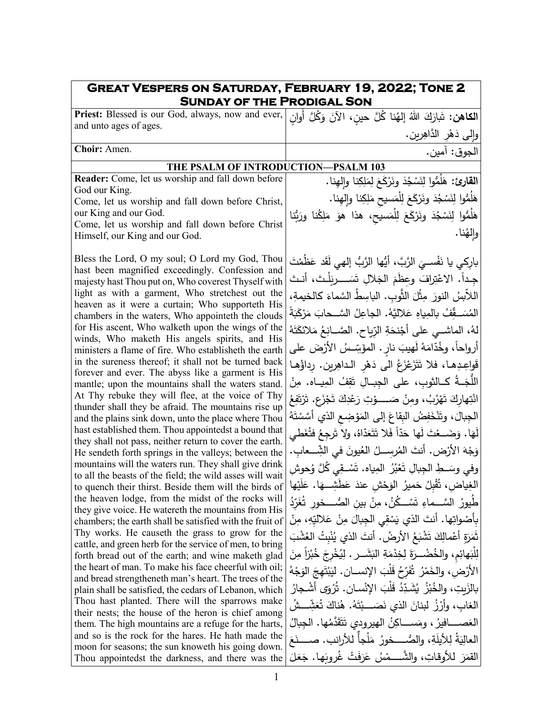| <b>GREAT VESPERS ON SATURDAY, FEBRUARY 19, 2022; TONE 2</b><br><b>SUNDAY OF THE PRODIGAL SON</b>                  |                                                                             |  |
|-------------------------------------------------------------------------------------------------------------------|-----------------------------------------------------------------------------|--|
| الكاهن: تَبارَكَ اللهُ إلهُنا كُلَّ حينِ، الآنَ وَكُلَّ أُوانِ Priest: Blessed is our God, always, now and ever,  |                                                                             |  |
| and unto ages of ages.                                                                                            | وإلى دَهْرِ الدَّاهِرِينِ.                                                  |  |
| Choir: Amen.                                                                                                      | الجوق: آمين.                                                                |  |
| THE PSALM OF INTRODUCTION-PSALM 103                                                                               |                                                                             |  |
| Reader: Come, let us worship and fall down before                                                                 | القارئ: هَلَمُّوا لِنَسْجُدَ ونَرْكَعَ لِمَلِكِنا وإلهِنا.                  |  |
| God our King.                                                                                                     | هَلُمُّوا لِنَسْجُدَ ونَرْكَعَ لِلْمَسيحِ مَلِكِنا وإلهِنا.                 |  |
| Come, let us worship and fall down before Christ,<br>our King and our God.                                        |                                                                             |  |
| Come, let us worship and fall down before Christ                                                                  | هَلَمُّوا لِنَسْجُدَ ونَرْكَعَ لِلْمَسيحِ، هذا هوَ مَلِكُنا ورَبُّنا        |  |
| Himself, our King and our God.                                                                                    | وإلهُنا.                                                                    |  |
| Bless the Lord, O my soul; O Lord my God, Thou                                                                    | باركي يا نَفْســيَ الرَّبَّ، أَيُّها الرَّبُّ إلهي لَقَد عَظَمْتَ           |  |
| hast been magnified exceedingly. Confession and                                                                   | جداً. الاعْتِرافَ وعظَمَ الجَلالِ تَسَــــريَلْتَ، أنـتَ                    |  |
| majesty hast Thou put on, Who coverest Thyself with<br>light as with a garment, Who stretchest out the            |                                                                             |  |
| heaven as it were a curtain; Who supporteth His                                                                   | اللأبسُ النورَ مِثْلَ الثَّوبِ. الباسِطُ السَّماءَ كالخيمةِ،                |  |
| chambers in the waters, Who appointeth the clouds                                                                 | المُسَــقِّفُ بالمِياهِ عَلاليَّهُ. الجاعِلُ السَّــحابَ مَرْكَبَةً         |  |
| for His ascent, Who walketh upon the wings of the                                                                 | لهُ، الماشــي على أَجْنحَةِ الرّياحِ. الصَّــانِعُ مَلائكَتَهُ              |  |
| winds, Who maketh His angels spirits, and His<br>ministers a flame of fire. Who establisheth the earth            | أرواحاً، وخُدّامَهُ لَهيبَ نارٍ . المؤَسِّسُ الأَرْضَ على                   |  |
| in the sureness thereof; it shall not be turned back                                                              | قَواعِدِها، فلا تَتَزَعْزَعُ الى دَهْرِ الداهِرِينِ. رِداؤُها               |  |
| forever and ever. The abyss like a garment is His                                                                 |                                                                             |  |
| mantle; upon the mountains shall the waters stand.<br>At Thy rebuke they will flee, at the voice of Thy           | اللَّجَــةُ كــالثوبِ، على الجِبــالِ تَقِفُ المِيــاه. مِنْ                |  |
| thunder shall they be afraid. The mountains rise up                                                               | انْتِهاركَ تَهْرُبُ، ومنْ صَـــــوْتِ رَعْدِكَ تَجْزَعِ. تَرْتَفِعُ         |  |
| and the plains sink down, unto the place where Thou                                                               | الْجِبالَ، وتَنْخَفِضُ الْبِقَاعَ إِلَى الْمَوْضِعِ الَّذِي أَسَّسْتَهُ     |  |
| hast established them. Thou appointedst a bound that<br>they shall not pass, neither return to cover the earth.   | لَهَا. وَضَــعْتَ لَها حَدّاً فَلا تَتَعَدّاهُ، ولا تَرجِعُ فتُغَطى         |  |
| He sendeth forth springs in the valleys; between the                                                              | وَجْهَ الأَرْضِ. أَنتَ المُرســلُ العُيونَ في الشِّـــعابِ.                 |  |
| mountains will the waters run. They shall give drink                                                              | وفي وسَــطِ الجِبالِ تَعْبُرُ  المِياه. تَسْــقِي كُلَّ وُحوش               |  |
| to all the beasts of the field; the wild asses will wait<br>to quench their thirst. Beside them will the birds of | الغِياض، تُقْبِلُ حَميرُ الوَحْشِ عندَ عَطَشِــهَا. عَلَيْها                |  |
| the heaven lodge, from the midst of the rocks will                                                                | طَيورُ السَّـــماءِ تَسْـــكُنُ، مِنْ بين الصُّــــخور تُغَرّدُ             |  |
| they give voice. He watereth the mountains from His                                                               | بِأَصْواتِها. أَنتَ الذي يَسْقِي الْجِبالَ مِنْ عَلاليِّهِ، مِنْ            |  |
| chambers; the earth shall be satisfied with the fruit of<br>Thy works. He causeth the grass to grow for the       | نَمَرَةِ أَعْمالِكَ تَشْبَعُ الأَرضُ. أنتَ الذي يُنْبِتُ العُشْبَ           |  |
| cattle, and green herb for the service of men, to bring                                                           |                                                                             |  |
| forth bread out of the earth; and wine maketh glad                                                                | لِلْبَهائِمِ، والخُضْــرَةَ لِخِدْمَةِ البَشَــرِ . لِيُخْرِجَ خُبْزاً مِنَ |  |
| the heart of man. To make his face cheerful with oil;<br>and bread strengtheneth man's heart. The trees of the    | الأرْض، والخَمْرُ ۖ ثَفَرِّحُ قَلْبَ الإِنســانِ. ليَبْتَهِجَ الوَجْهُ      |  |
| plain shall be satisfied, the cedars of Lebanon, which                                                            | بالزَبِتِ، والخُبْزُ  يُشَدِّدُ قَلْبَ الإِنْسـانِ. تُرْوَى أشْـجارُ        |  |
| Thou hast planted. There will the sparrows make                                                                   | الغاب، وأَرْزُ لبنانَ الذي نَصَـــبْتَهُ. هُناكَ تُعَشِّـــشُ               |  |
| their nests; the house of the heron is chief among<br>them. The high mountains are a refuge for the harts,        | العَصــــافيرُ ، ومَســــاكِنُ الـهيرودي تَتَقَدَّمُها. الـجبالُ            |  |
| and so is the rock for the hares. He hath made the                                                                | العالِيَةُ لِلأَيلَةِ، والصُّــــخورُ مَلْجاً للأرانب. صـــــنَعَ           |  |
| moon for seasons; the sun knoweth his going down.                                                                 |                                                                             |  |
| Thou appointedst the darkness, and there was the                                                                  | القَمَرَ للأوقاتِ، والشَّـــمْسُ عَرَفَتْ غُروبَها. جَعَلَ                  |  |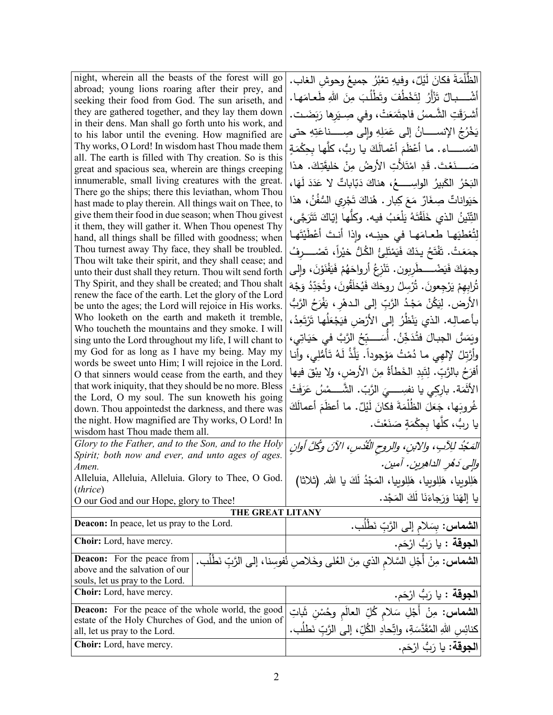| night, wherein all the beasts of the forest will go                                                         | الظُّلْمَةَ فكانَ لَيْلٌ، وفيهِ تعْبُرُ جميعُ وحوشِ الغاب.                                     |
|-------------------------------------------------------------------------------------------------------------|------------------------------------------------------------------------------------------------|
| abroad; young lions roaring after their prey, and                                                           | أَشْـــــبالٌ تَزْأَرُ لِتَخْطُفَ وتَطْلُبَ مِنَ اللهِ طَعـامَهـا.                             |
| seeking their food from God. The sun ariseth, and                                                           |                                                                                                |
| they are gathered together, and they lay them down<br>in their dens. Man shall go forth unto his work, and  | أشرَقَتِ الشَّمسُ فاجتَمَعَتْ، وفي صِـيَرها رَبَضَـت.                                          |
| to his labor until the evening. How magnified are                                                           | يَخْرُجُ الإِنســـــانُ إِلَى عَمَلِهِ وإِلَى صِـــــناعَتِهِ حتى                              |
| Thy works, O Lord! In wisdom hast Thou made them                                                            | المَســـــــاء . مـا أَعْظَمَ أَعْمـالَكَ يـا ربُّ، كلَّهـا بـحِكْمَةٍ                         |
| all. The earth is filled with Thy creation. So is this                                                      |                                                                                                |
| great and spacious sea, wherein are things creeping                                                         | صَــــــنَعْتَ. قَدِ امْتَلأَتِ الأَرضُ مِنْ خَليقَتِكَ. هذا                                   |
| innumerable, small living creatures with the great.                                                         | الْبَحْرُ الكَبِيرُ الواسِـــــعُ، هناكَ دَبّاباتٌ لا عَدَدَ لَهَا،                            |
| There go the ships; there this leviathan, whom Thou                                                         | حَيَواناتٌ صِغَارٌ مَعَ كِبارٍ . هُناكَ تَجْرِي السُّفُنُ، هذا                                 |
| hast made to play therein. All things wait on Thee, to                                                      |                                                                                                |
| give them their food in due season; when Thou givest                                                        | التِّنّينُ الذي خَلَقْتَهُ يَلْعَبُ فيه. وكلّها إيّاكَ تَتَرَجَّى،                             |
| it them, they will gather it. When Thou openest Thy<br>hand, all things shall be filled with goodness; when | لِتُعْطِيَهِا طعامَها في حينِه، وإذا أنتَ أَعْطَيْتَها                                         |
| Thou turnest away Thy face, they shall be troubled.                                                         |                                                                                                |
| Thou wilt take their spirit, and they shall cease; and                                                      | جمَعَتْ. تَفْتَحُ يدَكَ فَيَمْتَلِئُ الكُلُّ خيْراً، تَصْـــــرفُ                              |
| unto their dust shall they return. Thou wilt send forth                                                     | وجهَكَ فَيَضْــــطّْرِبون. تَنْزِعُ أَرواحَهُمْ فَيَفْنَوْنَ، وإلى                             |
| Thy Spirit, and they shall be created; and Thou shalt                                                       | تُرابِهِمْ يَرْجِعونَ. تُرْسِلُ روحَكَ فَيُخلَقُونَ، وتُجَدِّدُ وَجْهَ                         |
| renew the face of the earth. Let the glory of the Lord                                                      |                                                                                                |
| be unto the ages; the Lord will rejoice in His works.                                                       | الأرض. لِيَكُنْ مَجْدُ الرَّبِّ إلى الـدهْرِ ، يَفْرَحُ الرَّبُّ                               |
| Who looketh on the earth and maketh it tremble,                                                             | بأعمالِه. الذي يَنْظُرُ إلى الأرْض فيَجْعَلُها تَرْتَعِدُ،                                     |
| Who toucheth the mountains and they smoke. I will                                                           | ويَمَسُ الجبـالَ فَتُدَخِّنُ. أَسَـــبِّحُ الرَّبَّ في حَيَـاتِي،                              |
| sing unto the Lord throughout my life, I will chant to<br>my God for as long as I have my being. May my     |                                                                                                |
| words be sweet unto Him; I will rejoice in the Lord.                                                        | وأَرَّتِلُ لِإلهِي ما دُمْتُ مَوْجوداً. يَلَّذُ لَهُ تَأْمُلِي، وأنا                           |
| O that sinners would cease from the earth, and they                                                         | أَفْرَحُ بِالرَّبِّ. لِتَبِدِ الْخَطَأَةُ مِنَ الأَرضِ، ولا يبْقَ فيها                         |
| that work iniquity, that they should be no more. Bless                                                      | الأَثْمَة. بارِكِي يا نفسِــــيَ الرَّبّ. الشَّــــمْسُ عَرَفَتْ                               |
| the Lord, O my soul. The sun knoweth his going                                                              |                                                                                                |
| down. Thou appointedst the darkness, and there was                                                          | غُروبَها، جَعَلَ الظُلْمَةَ فكانَ لَيْلٌ. ما أعظَمَ أعمالَكَ                                   |
| the night. How magnified are Thy works, O Lord! In                                                          | يا ربُّ، كلَّها بحِكْمَةٍ صَنَعْتَ.                                                            |
| wisdom hast Thou made them all.                                                                             |                                                                                                |
| Glory to the Father, and to the Son, and to the Holy                                                        | المَجْدُ للِآبِ، والآبنِ، والروحِ الْقُدُسِ، الآنَ وكُلَّ أُوانِ                               |
| Spirit; both now and ever, and unto ages of ages.<br>Amen.                                                  | والِي دَهُرِ الداهِرِينِ. أمينِ.                                                               |
| Alleluia, Alleluia, Alleluia. Glory to Thee, O God.                                                         |                                                                                                |
| ( <i>thrice</i> )                                                                                           | هَلِلوبِيا، هَلِلوبِيا، هَلِلوبِيا، المَجْدُ لَكَ يا الله. (ثلاثا)                             |
| O our God and our Hope, glory to Thee!                                                                      | يا إلهَنا وَرَجاءَنَا لَكَ المَجْد.                                                            |
| THE GREAT LITANY                                                                                            |                                                                                                |
| Deacon: In peace, let us pray to the Lord.                                                                  | ا <b>لشماس:</b> بِسَلام إلى الرَّبِّ نَطْلُب.                                                  |
| Choir: Lord, have mercy.                                                                                    | ا <b>لجوقة</b> : يا رَبُّ ارْحَم.                                                              |
| <b>Deacon:</b> For the peace from                                                                           | ا <b>لشماس:</b> مِنْ أَجْلِ السَّلام الذي مِنَ الْعُلى وخَلاصٍ نُفوسِنا، إلى الرَّبِّ نَطْلُب. |
| above and the salvation of our                                                                              |                                                                                                |
| souls, let us pray to the Lord.                                                                             |                                                                                                |
| Choir: Lord, have mercy.                                                                                    | ا <b>لجوقة</b> : يا رَبُّ ارْحَم.                                                              |
| <b>Deacon:</b> For the peace of the whole world, the good                                                   | <b>الشماس:</b> مِنْ أَجْلِ سَلامٍ كُلِّ العالَمِ وحُسْنٍ شَاتِ                                 |
| estate of the Holy Churches of God, and the union of<br>all, let us pray to the Lord.                       | كنائِس اللهِ المُقَدَّسَةِ، واتِّحادِ الكُلِّ، إلى الرَّبِّ نَطلَب.                            |
| Choir: Lord, have mercy.                                                                                    | ا <b>لجوقة:</b> يا رَبُّ ارْحَم.                                                               |
|                                                                                                             |                                                                                                |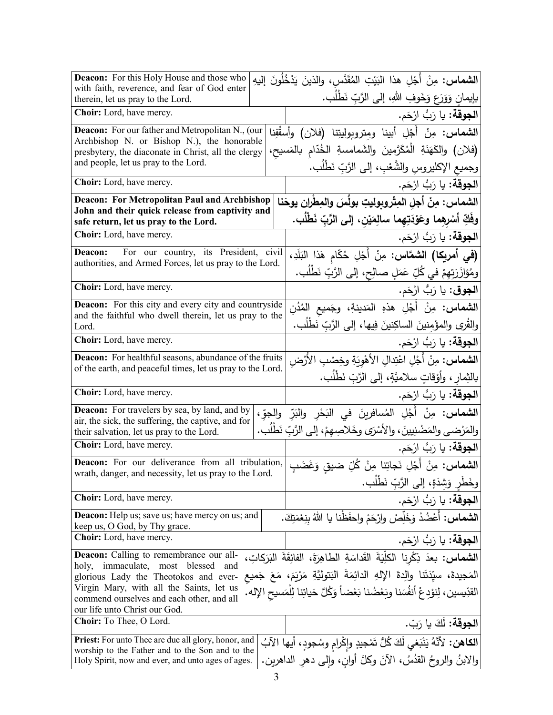| <b>Deacon:</b> For this Holy House and those who<br>with faith, reverence, and fear of God enter  | <b>الشماس:</b> مِنْ أَجْلِ هذا البَيْتِ المُقَدَّس، والذينَ يَدْخُلُونَ إليهِ       |
|---------------------------------------------------------------------------------------------------|-------------------------------------------------------------------------------------|
| therein, let us pray to the Lord.                                                                 | بإيمان وَوَرَعٍ وَخَوفِ اللهِ، إلى الرَّبِّ نَطْلُبٍ.                               |
| Choir: Lord, have mercy.                                                                          | ا <b>لجوقة:</b> يا رَبُّ ارْحَم.                                                    |
| <b>Deacon:</b> For our father and Metropolitan N., (our                                           | <b>الشماس:</b> مِنْ أَجْلِ أبينا ومتروبوليتِنا (فلان) وأسقُفِنا                     |
| Archbishop N. or Bishop N.), the honorable<br>presbytery, the diaconate in Christ, all the clergy | (فلان) والكَهَنَةِ الْمُكَرَّمينَ والشَمامسةِ الخُدّامِ بالمَسيح،                   |
| and people, let us pray to the Lord.                                                              | وجميع الإكليروس والشَّعْبِ، إلى الرَّبِّ نَطْلُب.                                   |
| Choir: Lord, have mercy.                                                                          | ا <b>لجوقة:</b> يا رَبُّ ارْحَم.                                                    |
| <b>Deacon: For Metropolitan Paul and Archbishop</b>                                               | الشماس: مِنْ أجلِ المِتْروبوليتِ بولُسَ والمِطْرانِ يوحَنا                          |
| John and their quick release from captivity and<br>safe return, let us pray to the Lord.          | وفَكِّ أَسْرِهِما وعَوْدَتِهِما سالِمَيْنِ، إلى الرَّبِّ نَطْلُب.                   |
| Choir: Lord, have mercy.                                                                          | ا <b>لجوقة:</b> يا رَبُّ ارْحَم.                                                    |
| For our country, its President, civil<br>Deacon:                                                  | (في أمريكا) الشمَّاس: مِنْ أَجْلِ حُكّام هَذا البَلَدِ،                             |
| authorities, and Armed Forces, let us pray to the Lord.                                           | ومُؤازَرَتِهِمْ في كُلِّ عَمَلٍ صالِحٍ، إلى الرَّبِّ نَطْلُب.                       |
| Choir: Lord, have mercy.                                                                          | ا <b>لجوق</b> : يا رَبُّ ارْحَم.                                                    |
| <b>Deacon:</b> For this city and every city and countryside                                       | <b>الشماس:</b> مِنْ أَجْلِ هذهِ المَدينةِ، وجَميع المُدُنِ                          |
| and the faithful who dwell therein, let us pray to the<br>Lord.                                   | والقُرى والمؤْمنينَ الساكِنينَ فِيها، إلى الرَّبِّ نَطْلُب.                         |
| Choir: Lord, have mercy.                                                                          | ا <b>لجوقة:</b> يا رَبُّ ارْحَم.                                                    |
| <b>Deacon:</b> For healthful seasons, abundance of the fruits                                     | ا <b>لشماس:</b> مِنْ أَجْلِ اعْتِدالِ الأَهْوِيَةِ وخِصْبِ الأَرْض                  |
| of the earth, and peaceful times, let us pray to the Lord.                                        | بالثِمارِ ، وأَوْقاتٍ سلاميَّةٍ، إلى الرَّبِّ نَطْلُبٍ.                             |
| Choir: Lord, have mercy.                                                                          | ا <b>لجوقة:</b> يا رَبُّ ارْحَم.                                                    |
| <b>Deacon:</b> For travelers by sea, by land, and by                                              | ا <b>لشماس:</b> مِنْ أَجْلِ المُسافرينَ في البَحْرِ والبَرِّ والجوِّ،               |
| air, the sick, the suffering, the captive, and for<br>their salvation, let us pray to the Lord.   | والمَرْضى والمَضْنِيينَ، والأَسْرَى وخَلاصِهِمْ، إلى الرَّبِّ نَطْلَب.              |
| Choir: Lord, have mercy.                                                                          | ا <b>لجوقة:</b> يا رَبُّ ارْحَم.                                                    |
| Deacon: For our deliverance from all tribulation,                                                 | ا <b>لشماس:</b> مِنْ أَجْلِ نَجاتِنا مِنْ كُلِّ ضيق وَغَضَبِ                        |
| wrath, danger, and necessity, let us pray to the Lord                                             | وخَطْرِ وَشِدَةٍ، إلى الرَّبِّ نَطْلُب.                                             |
| Choir: Lord, have mercy.                                                                          | ا <b>لجوقة:</b> يا رَبُّ ارْحَم.                                                    |
| <b>Deacon:</b> Help us; save us; have mercy on us; and                                            | <b>الشماس:</b> أعْضُدْ وَخَلِّصْ وارْحَمْ واحفَظْنا يا اللهُ بنِعْمَتِكَ.           |
| keep us, O God, by Thy grace.<br><b>Choir:</b> Lord, have mercy.                                  | ا <b>لجوقة:</b> يا رَبُّ ارْحَم.                                                    |
| Deacon: Calling to remembrance our all-                                                           | الشماس: بعدَ ذِكْرِنا الكلِّيَةَ القَداسَةِ الطاهِرَةَ، الفائِقَةَ البَرَكاتِ،      |
| holy, immaculate, most blessed<br>and                                                             | المَجيدةَ، سيّدَتَنا والِدةَ الإِلهِ الدائِمَةَ البَتوليَّةِ مَرْيَمَ، مَعَ جَميع   |
| glorious Lady the Theotokos and ever-<br>Virgin Mary, with all the Saints, let us                 | القدِّيسين، لِنوْدِعْ أنفُسَنا وبَعْضُنا بَعْضاً وَكُلَّ حَياتِنا لِلْمَسيحِ الإله. |
| commend ourselves and each other, and all                                                         |                                                                                     |
| our life unto Christ our God.<br>Choir: To Thee, O Lord.                                          | ا <b>لجوقة:</b> لَكَ يا رَبّ.                                                       |
| <b>Priest:</b> For unto Thee are due all glory, honor, and                                        |                                                                                     |
| worship to the Father and to the Son and to the                                                   | ا <b>لكاهن:</b> لأنَّهُ يَنْبَغي لَكَ كُلُّ تَمْجِيدِ وإِكْرامِ وسُجودٍ، أيها الآبُ |
| Holy Spirit, now and ever, and unto ages of ages.                                                 | والابنُ والروحُ القدُسُ، الآنَ وكلَّ أوانٍ، وإلى دهرِ الداهرين.                     |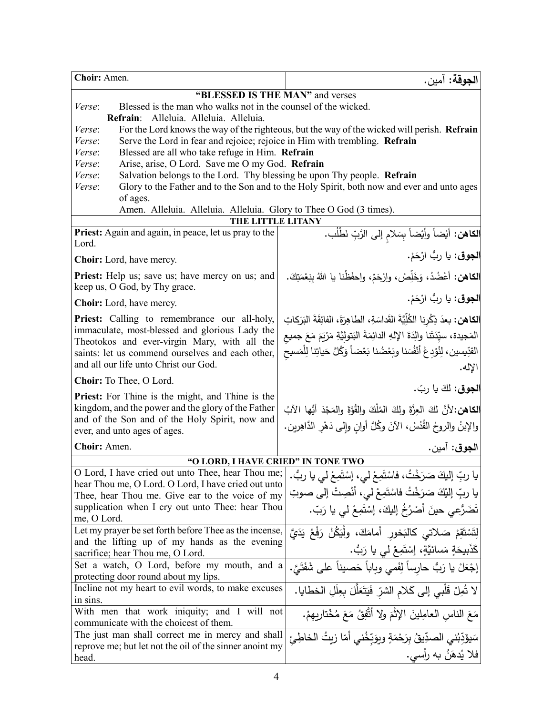| Choir: Amen.                                                                                                       | ا <b>لجوقة:</b> آمين.                                                                    |  |
|--------------------------------------------------------------------------------------------------------------------|------------------------------------------------------------------------------------------|--|
| "BLESSED IS THE MAN" and verses                                                                                    |                                                                                          |  |
| Blessed is the man who walks not in the counsel of the wicked.<br>Verse:                                           |                                                                                          |  |
| Refrain: Alleluia. Alleluia. Alleluia.                                                                             |                                                                                          |  |
| For the Lord knows the way of the righteous, but the way of the wicked will perish. Refrain<br><i>Verse:</i>       |                                                                                          |  |
| Serve the Lord in fear and rejoice; rejoice in Him with trembling. Refrain<br>Verse:                               |                                                                                          |  |
| Blessed are all who take refuge in Him. Refrain<br>Verse:                                                          |                                                                                          |  |
| Arise, arise, O Lord. Save me O my God. Refrain<br>Verse:                                                          |                                                                                          |  |
| Salvation belongs to the Lord. Thy blessing be upon Thy people. Refrain<br>Verse:                                  |                                                                                          |  |
| Glory to the Father and to the Son and to the Holy Spirit, both now and ever and unto ages<br>Verse:               |                                                                                          |  |
| of ages.                                                                                                           |                                                                                          |  |
| Amen. Alleluia. Alleluia. Alleluia. Glory to Thee O God (3 times).                                                 |                                                                                          |  |
| THE LITTLE LITANY                                                                                                  |                                                                                          |  |
| <b>Priest:</b> Again and again, in peace, let us pray to the<br>Lord.                                              | ا <b>لكاهن:</b> أيْضاً وأيْضاً بِسَلام إلى الرَّبِّ نَطْلُب.                             |  |
|                                                                                                                    | ا <b>لجوق</b> : يا ربُ ارْحَمْ.                                                          |  |
| <b>Choir:</b> Lord, have mercy.                                                                                    |                                                                                          |  |
| <b>Priest:</b> Help us; save us; have mercy on us; and                                                             | الكاهن: أَعْضُدْ، وَخَلِّصْ، وارْحَمْ، واحفَظْنا يا اللهُ بِنِعْمَتِكَ.                  |  |
| keep us, O God, by Thy grace.                                                                                      |                                                                                          |  |
| <b>Choir:</b> Lord, have mercy.                                                                                    | ا <b>لجوق</b> : يا ربُّ ارْحَمْ.                                                         |  |
| <b>Priest:</b> Calling to remembrance our all-holy,                                                                | ا <b>لكاهن:</b> بعدَ ذِكْرِنا الكُلِّيَّةَ القَداسَةِ، الطاهِرَةَ، الفائِقَةَ البَرَكاتِ |  |
| immaculate, most-blessed and glorious Lady the                                                                     |                                                                                          |  |
| Theotokos and ever-virgin Mary, with all the                                                                       | المَجيدة، سيِّدَتَنا والِدَةَ الإِلهِ الدائِمَةَ البَتولِيَّةِ مَرْيَمَ مَعَ جميع        |  |
| saints: let us commend ourselves and each other,                                                                   | القدِّيسين، لِنُوْدِعْ أَنْفُسَنا وبَعْضُنا بَعْضاً وَكُلَّ حَياتِنا لِلْمَسيحِ          |  |
| and all our life unto Christ our God.                                                                              | الإله.                                                                                   |  |
| Choir: To Thee, O Lord.                                                                                            |                                                                                          |  |
| <b>Priest:</b> For Thine is the might, and Thine is the                                                            | ا <b>لجوق</b> : لكَ يا ربّ.                                                              |  |
| kingdom, and the power and the glory of the Father                                                                 | الكاهن:لأنَّ لكَ العِزَّةَ ولكَ المُلْكَ والقُوَّةَ والمَجْدَ أَيُّها الآبُ              |  |
| and of the Son and of the Holy Spirit, now and                                                                     |                                                                                          |  |
| ever, and unto ages of ages.                                                                                       | والإبنُ والروحُ القُدُسُ، الآنَ وكُلَّ أوانِ وإلى دَهْرِ الدَّاهِرينِ.                   |  |
| Choir: Amen.                                                                                                       | ا <b>لجوق</b> : آمين.                                                                    |  |
| "O LORD, I HAVE CRIED" IN TONE TWO                                                                                 |                                                                                          |  |
| يا ربِّ إليكَ صَرَخْتُ، فاسْتَمِعْ لمي، إسْتَمِعْ لمي يا ربُّ.   O Lord, I have cried out unto Thee, hear Thou me; |                                                                                          |  |
| hear Thou me, O Lord. O Lord, I have cried out unto                                                                |                                                                                          |  |
| Thee, hear Thou me. Give ear to the voice of my                                                                    | يا ربِّ إليْكَ صَرَخْتُ فَاسْتَمِعْ لَى، أَنْصِتْ إِلَى صوتِ                             |  |
| supplication when I cry out unto Thee: hear Thou                                                                   | تَضَرُّعي حينَ أَصْرُخُ إِلَيكَ، إِسْتَمِعْ لَي يا رَبِّ.                                |  |
| me, O Lord.                                                                                                        |                                                                                          |  |
| Let my prayer be set forth before Thee as the incense,<br>and the lifting up of my hands as the evening            | لِتَسْتَقِمْ صَلاتي كالبَخور أمامَكَ، ولْيَكُنْ رَفْعُ يَدَيَّ                           |  |
| sacrifice; hear Thou me, O Lord.                                                                                   | كَذَبِيحَةٍ مَسائيَّةٍ، إِسْتَمِعْ لي يا رَبُّ.                                          |  |
| Set a watch, O Lord, before my mouth, and a                                                                        |                                                                                          |  |
| protecting door round about my lips.                                                                               | إِجْعَلْ يا رَبُّ حارساً لِفَمي وبِاباً حَصيناً على شَفَتَيَّ.                           |  |
| Incline not my heart to evil words, to make excuses                                                                |                                                                                          |  |
| in sins.                                                                                                           | لا تُمِلْ قَلْبِي إِلَى كَلامِ الشرِّ فَيَتَعَلَّلَ بِعِلَلِ الخطايا.                    |  |
| With men that work iniquity; and I will not                                                                        | مَعَ الناسِ العامِلينَ الإِثْمَ ولا أَتَّفِقُ مَعَ مُخْتارِبِهِمْ.                       |  |
| communicate with the choicest of them.                                                                             |                                                                                          |  |
| The just man shall correct me in mercy and shall                                                                   | سَيؤَدِّبُنى الصدِّيقُ بِرَحْمَةٍ وبِوَبِّخُنى أَمّا زِيتُ الخاطِئ                       |  |
| reprove me; but let not the oil of the sinner anoint my                                                            |                                                                                          |  |
| head.                                                                                                              | فلا يُدهَنُ به رأسي.                                                                     |  |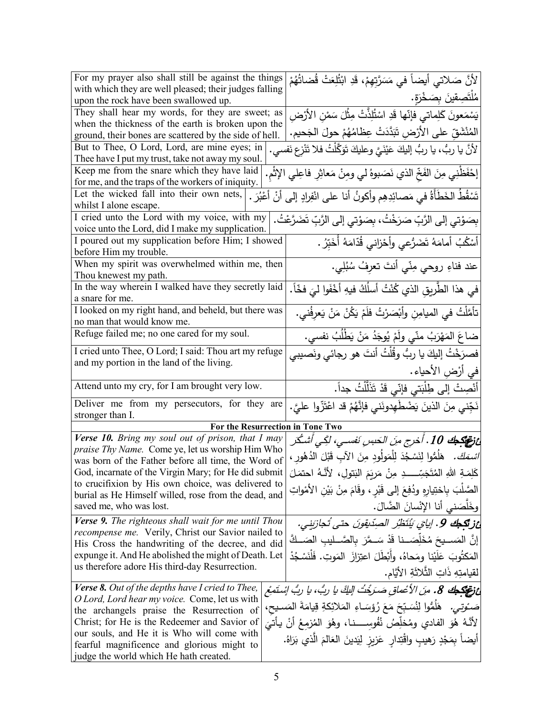| For my prayer also shall still be against the things                                                         |  | لأنَّ صَلاتي أيضاً في مَسَرَّتِهِمْ، قَدِ ابْتُلِعَتْ قُضاتُهُمْ                  |
|--------------------------------------------------------------------------------------------------------------|--|-----------------------------------------------------------------------------------|
| with which they are well pleased; their judges falling                                                       |  |                                                                                   |
| upon the rock have been swallowed up.                                                                        |  | مُلْتَصِقِينَ بِصَخْرَةٍ.                                                         |
| They shall hear my words, for they are sweet; as                                                             |  | يَسْمَعونَ كَلِماتي فإنّها قَدِ اسْتُلِذَّتْ مِثْلَ سَمْنِ الأرْضِ                |
| when the thickness of the earth is broken upon the<br>ground, their bones are scattered by the side of hell. |  | المُنْشَقِّ على الأَرْضِ تَبَدَّدَتْ عِظَامُهُمْ حولَ الجَحيم.                    |
| But to Thee, O Lord, Lord, are mine eyes; in<br>Thee have I put my trust, take not away my soul.             |  | لأنَّ يا ربُّ، يا ربُّ إليكَ عَيْنَيَّ وعليكَ تَوَكَّلْتُ فلا تَنْزِع نَفسي.      |
| Keep me from the snare which they have laid                                                                  |  |                                                                                   |
| for me, and the traps of the workers of iniquity.                                                            |  | إِحْفَظْنِي مِنَ الفَخِّ الذي نَصَبوهُ لي ومِنْ مَعاثِرِ فاعِلي الإثمِ.           |
| Let the wicked fall into their own nets,<br>whilst I alone escape.                                           |  | نَسْقُطُ الخَطَأَةُ في مَصائِدِهِم وأكونُ أنا على انْفِرادٍ إلى أنْ أَعْبُرَ .    |
| I cried unto the Lord with my voice, with my                                                                 |  |                                                                                   |
| voice unto the Lord, did I make my supplication.                                                             |  | بِصَوْتِي إلى الرَّبِّ صَرَخْتُ، بِصَوْتِي إلى الرَّبِّ تَضَرَّعْتُ.              |
| I poured out my supplication before Him; I showed                                                            |  | أَسْكُبُ أَمامَهُ تَضَرُّعي وأَحْزاني قُدّامَهُ أَخَبِّرُ .                       |
| before Him my trouble.                                                                                       |  |                                                                                   |
| When my spirit was overwhelmed within me, then                                                               |  | عند فناءِ روحي مِنّي أنتَ تعرِفُ سُبُلِي.                                         |
| Thou knewest my path.                                                                                        |  |                                                                                   |
| In the way wherein I walked have they secretly laid                                                          |  | في هذا الطَّريقِ الذي كُنْتُ أسلَكُ فيهِ أخْفَوا ليَ فخّاً.                       |
| a snare for me.                                                                                              |  |                                                                                   |
| I looked on my right hand, and beheld, but there was                                                         |  | تأمَّلتُ في الميامِنِ وأَبْصَرْتُ فلَمْ يَكُنْ مَنْ يَعرِفُني.                    |
| no man that would know me.                                                                                   |  |                                                                                   |
| Refuge failed me; no one cared for my soul.                                                                  |  | ضاعَ المَهْرَبُ منّي ولَمْ يُوجَدُ مَنْ يَطْلُبُ نفسي.                            |
| I cried unto Thee, O Lord; I said: Thou art my refuge                                                        |  | فصرَخْتُ إليكَ يا ربُّ وقُلْتُ أنتَ هو رجائي ونَصيبي                              |
| and my portion in the land of the living.                                                                    |  | في أرْضِ الأحياء.                                                                 |
| Attend unto my cry, for I am brought very low.                                                               |  | أَنْصِتْ إلى طِلْبَتي فإنّي قَدْ تَذَلَّلْتُ جداً.                                |
| Deliver me from my persecutors, for they are                                                                 |  | نَجِّني مِنَ الذينَ يَضْطْهِدونَني فَإِنَّهُمْ قَد اعْتَزُّوا عليَّ.              |
| stronger than I.                                                                                             |  | For the Resurrection in Tone Two                                                  |
| Verse 10. Bring my soul out of prison, that I may                                                            |  | ع نقلك 10 . أخرج منَ الحَبسِ نَفسيِ، لكِي أشكُر                                   |
| <i>praise Thy Name.</i> Come ye, let us worship Him Who                                                      |  |                                                                                   |
| was born of the Father before all time, the Word of                                                          |  | <i>اسْمَكَ.</i> هَلُمُّوا لِنَسْجُدَ لِلْمَولُودِ مِنَ الآبِ قَبْلَ الدُهُورِ ،   |
| God, incarnate of the Virgin Mary; for He did submit                                                         |  | كَلِمَـةِ اللهِ المُتَجَسِّــــدِ مِنْ مَرِيَمَ البَتولِ، لأنَّـهُ احتمَلَ        |
| to crucifixion by His own choice, was delivered to                                                           |  | الصَّلبَ بِاختِيارِهِ ودُفِعَ إلى قَبْرٍ ، وقَامَ مِنْ بَيْنِ الأَمْواتِ          |
| burial as He Himself willed, rose from the dead, and<br>saved me, who was lost.                              |  | وخَلْصَني أنا الإِنْسانَ الضَّالَ.                                                |
| <b>Verse 9.</b> The righteous shall wait for me until Thou                                                   |  | غز <b>تَكِكُ 9.</b> إيايَ يُنْتَظِّر الصِدِّيقِونَ حتى تُجازِيني.                 |
| recompense me. Verily, Christ our Savior nailed to                                                           |  |                                                                                   |
| His Cross the handwriting of the decree, and did                                                             |  | إنَّ المَســيحَ مُخَلِّصَــنا قَدْ سَــمَّرَ بِالصَّــليبِ الصَــكَّ              |
| expunge it. And He abolished the might of Death. Let                                                         |  | المَكتُوبَ عَلَيْنا ومَحاهُ، وأَبْطَلَ اعتِزازَ  المَوتِ. فَلْنَسْجُدْ            |
| us therefore adore His third-day Resurrection.                                                               |  | لقيامتِهِ ذَاتِ الثَّلاثَةِ الأَيَّامِ.                                           |
| Verse 8. Out of the depths have I cried to Thee,                                                             |  | عْ تَصَلِّكُهُ 8. مِنَ الأَعْماقِ صَدَيْتُ اللَّكَ يا ربُّ، يا ربُّ اشتَمِعْ      |
| O Lord, Lord hear my voice. Come, let us with                                                                |  |                                                                                   |
| the archangels praise the Resurrection of                                                                    |  | صَـُوتِـى. ۖ هَلَمُّوا لِنُسَـبِّحَ مَعَ رُؤسَـاءِ المَلائِكةِ قِيامَةَ المَسـيح، |
| Christ; for He is the Redeemer and Savior of                                                                 |  | لأنَّهُ هُوَ الفادي ومُخلِّصُ نُفُوسِــــنـا، وهُوَ الْمُزْمِعُ أَنْ يَأْتَىَ     |
| our souls, and He it is Who will come with                                                                   |  |                                                                                   |
| fearful magnificence and glorious might to                                                                   |  | أيضاً بِمَجْدٍ رَهيبِ واقْتِدارِ عَزيزِ لِيَدينَ العَالمَ الَّذي بَرَاهُ.         |
| judge the world which He hath created.                                                                       |  |                                                                                   |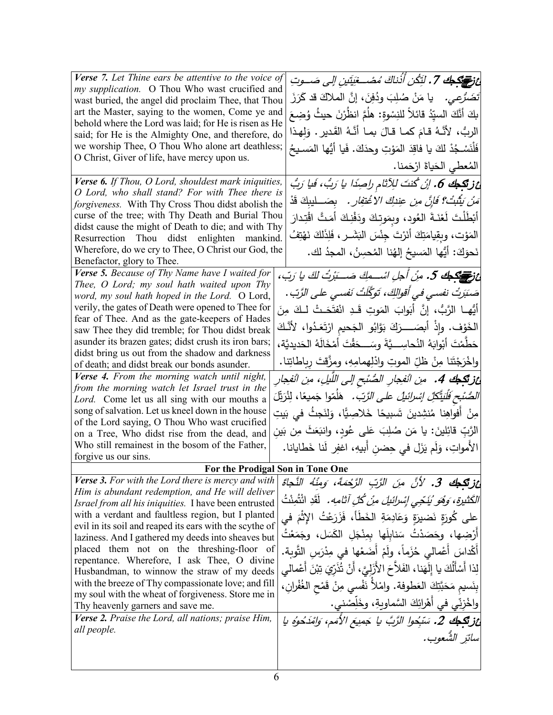| <b>Verse</b> 7. Let Thine ears be attentive to the voice of                                                        |                                                                                       |
|--------------------------------------------------------------------------------------------------------------------|---------------------------------------------------------------------------------------|
| my supplication. O Thou Who wast crucified and                                                                     | ئ في 15 من 15. لَتِكُن أَذْناكَ مُصْـــغِيَتِين إلى صَـــوتِ                          |
| wast buried, the angel did proclaim Thee, that Thou                                                                | تَضَرَّعِي.    يا مَنْ صُلِبَ وِدُفِنَ، إنَّ الملاكَ قد كَرَزَ                        |
| art the Master, saying to the women, Come ye and                                                                   | بكَ أَنَّكَ السيِّدُ قائلاً للنِسْوةِ: هلُمَّ انظُرْنَ حيثُ وُضِعَ                    |
| behold where the Lord was laid; for He is risen as He                                                              |                                                                                       |
| said; for He is the Almighty One, and therefore, do                                                                | الربُّ، لأنَّهُ قـامَ كمـا قـالَ بمـا أنَّـهُ القَديرِ . وَلهذا                       |
| we worship Thee, O Thou Who alone art deathless;                                                                   | فَلْنَسْجُدْ لَكَ يا فاقِدَ المَوْتِ وحدَكَ. فَيا أَيُّها المَسـيحُ                   |
| O Christ, Giver of life, have mercy upon us.                                                                       | المُعطى الحَياةَ ارْحَمنا.                                                            |
| Verse 6. If Thou, O Lord, shouldest mark iniquities,                                                               | ئ زنگجك 6. إنْ كُنتَ للِأَثام راصِدًا يا رَبُّ، فَيا رَبُّ                            |
| O Lord, who shall stand? For with Thee there is                                                                    |                                                                                       |
| forgiveness. With Thy Cross Thou didst abolish the                                                                 | مَ <i>نْ يَثْبُتْ؟ فَإِنَّ مِن عِندِكَ الا</i> غْت <i>فِارِ .</i> بِصَـــليبِكَ قَدْ  |
| curse of the tree; with Thy Death and Burial Thou                                                                  | أَبْطَلْتَ لَعْنَةَ العُود، وبِمَوتِكَ ودَفْنِكَ أَمَتَّ اقْتِدارَ                    |
| didst cause the might of Death to die; and with Thy<br>Resurrection Thou didst enlighten mankind.                  | المَوْت، وبِقِيامَتِكَ أَنَرْتَ جِنْسَ الْبَشَــرِ ، فَلِذَلكَ نَهْتِفُ               |
| Wherefore, do we cry to Thee, O Christ our God, the                                                                |                                                                                       |
| Benefactor, glory to Thee.                                                                                         | نَحوَكَ: أَيُّها المَسيحُ إلهُنا المُحسِنُ، المجدُ لك.                                |
| Verse 5. Because of Thy Name have I waited for                                                                     |                                                                                       |
| Thee, O Lord; my soul hath waited upon Thy                                                                         | ئ تانىيكى ئى مۇن أجل اشىمكى صَـــَبْرْتُ لكَ يا رَبّ،                                 |
| word, my soul hath hoped in the Lord. O Lord,                                                                      | صَبَرَتْ نفسى في أقوالكِ، تَوَكَّلَتْ نَفسى على الرَّبّ .                             |
| verily, the gates of Death were opened to Thee for                                                                 | أَيُّهـا الرَّبُّ، إنَّ أبَوابَ المَوتِ قَـدِ انْفتَحَـتْ لـكَ مِنَ                   |
| fear of Thee. And as the gate-keepers of Hades                                                                     |                                                                                       |
| saw Thee they did tremble; for Thou didst break                                                                    | الخَوْف. وإِذْ أَبِصَـــرَكَ بَوَّابُو الْجَحيمِ ارْتَعَـدُوا، لأَنَّـكَ              |
| asunder its brazen gates; didst crush its iron bars;                                                               | حَطَّمْتَ أَبْوابَهُ النُحاسِـــيَّةَ وسَـــحَقْتَ أَمْخَالَهُ الْحَديديَّة،          |
| didst bring us out from the shadow and darkness                                                                    | واخْرَجْتَنا مِنْ ظُلِّ الموتِ وادْلِهمامِهِ، ومزَّقتَ رباطاتِنا.                     |
| of death; and didst break our bonds asunder.                                                                       |                                                                                       |
| Verse 4. From the morning watch until night,<br>from the morning watch let Israel trust in the                     | <b>غزتكمك 4.</b> من الفجارِ الصُنْح إلى اللّيلِ، من الفجار                            |
| Lord. Come let us all sing with our mouths a                                                                       | <i>الصُّنْحِ فَلْيَتَّكِلُ إِسْرائِيلُ على الرَّبّ.</i> هَلْمّوا جَميعًا، لِنُرَيِّلَ |
| song of salvation. Let us kneel down in the house                                                                  | مِنْ أَفواهِنا مُنشِدينَ شَىبِيحًا خَلاصِيًّا، وَلِنَجِثُ في بَيتِ                    |
| of the Lord saying, O Thou Who wast crucified                                                                      |                                                                                       |
| on a Tree, Who didst rise from the dead, and                                                                       | الرَّبِّ قائِلينَ: يا مَن صُلِبَ عَلى عُودٍ، وانبَعَثَ مِن بَين                       |
| Who still remainest in the bosom of the Father,                                                                    | الأمواتِ، وَلَم يَزَل في حِضنِ أبيهِ، اغفِر لَنا خَطايانا.                            |
| forgive us our sins.                                                                                               |                                                                                       |
| For the Prodigal Son in Tone One                                                                                   |                                                                                       |
| Verse 3. For with the Lord there is mercy and with                                                                 | غز <b>تَكِطِكَ 3.</b> لأنَّ مِنَ الرَّبِّ الرَّحْمَةَ، وَمِنْهُ النَّجاةَ             |
| Him is abundant redemption, and He will deliver                                                                    | الكَثيرة، وَهُو يُنَجِّى إِسْرائيلَ مِنْ كُلِّ آثامِهِ. ۖ لَقَدِ ائْتُمِنْتُ          |
| <i>Israel from all his iniquities.</i> I have been entrusted<br>with a verdant and faultless region, but I planted |                                                                                       |
| evil in its soil and reaped its ears with the scythe of                                                            | على كُورَة نَضيرَةٍ وَعَادِمَةِ الخَطَأ، فَزَرَعْتُ الإِثْمَ في                       |
| laziness. And I gathered my deeds into sheaves but                                                                 | أَرْضِها، وحَصَدْتُ سَنابِلَها بمِنْجَلِ الكَسَلِ، وجَمَعْتُ                          |
| placed them not on the threshing-floor of                                                                          | أَكْداسَ أَعْمالي حُزَماً، ولَمْ أَضَعْها في مِدْرَسِ التَّوبة.                       |
| repentance. Wherefore, I ask Thee, O divine                                                                        |                                                                                       |
| Husbandman, to winnow the straw of my deeds                                                                        | لِذا أَسْأَلُكَ يا إِلَهَنا، الفَلاَّحَ الأَزَلِيَّ، أَنْ تُذَرِّيَ تِبْنَ أَعْمالِي  |
| with the breeze of Thy compassionate love; and fill                                                                | بِنَسيم مَحَبَّتِكَ العَطوفة. وامْلاً نَفْسى مِنْ قَمْحِ الغُفْرانِ،                  |
| my soul with the wheat of forgiveness. Store me in<br>Thy heavenly garners and save me.                            | واخْزِنِّي في أَهْرائِكَ السَّماويةِ، وخَلِّصْني.                                     |
| Verse 2. Praise the Lord, all nations; praise Him,                                                                 | ئز تَكِطِكَ 2. سَبْحُولِ الرَّبَّ يا جَمِيعَ الأَمَمِ، وَامْدَحُوهُ يا                |
| all people.                                                                                                        |                                                                                       |
|                                                                                                                    | سائر الشَّعوب.                                                                        |
|                                                                                                                    |                                                                                       |
|                                                                                                                    |                                                                                       |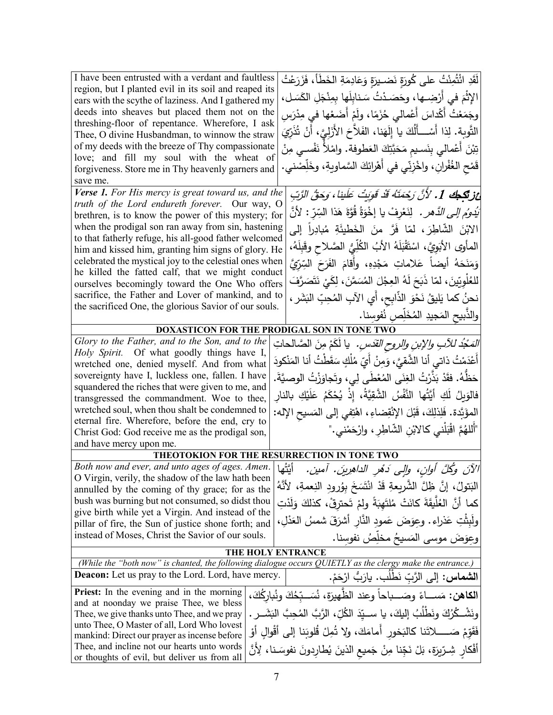| I have been entrusted with a verdant and faultless<br>لَقَدِ ائْتُمِنْتُ على كُورَةٍ نَضـيرَةٍ وَعَادِمَةِ الخَطَأُ، فَزَرَعْتُ<br>region, but I planted evil in its soil and reaped its<br>الإِثْمَ في أَرْضِـها، وحَصَـدْتُ سَنابِلَها بِمِنْجَلِ الكَسَلِ،<br>ears with the scythe of laziness. And I gathered my<br>deeds into sheaves but placed them not on the<br>وجَمَعْتُ أَكْداسَ أَعْمالـي حُزَمًا، ولَمْ أَضَعْها فـي مِدْرَسِ<br>threshing-floor of repentance. Wherefore, I ask<br>النَّوبة. لِذا أَسْـــأَلُكَ يا إِلَهَنا، الفَلاّحَ الأَزَلِيَّ، أَنْ تُذَرِّيَ<br>Thee, O divine Husbandman, to winnow the straw<br>of my deeds with the breeze of Thy compassionate<br>تِبْنَ أَعْمالي بِنَسيم مَحَبَّتِكَ العَطوفة. وامْلاً نَفْسي مِنْ<br>love; and fill my soul with the wheat of<br>قَمْحِ الغُفْرانِ، واخْزِنِّي في أَهْرائِكَ السَّماويةِ، وخَلِّصْني.<br>forgiveness. Store me in Thy heavenly garners and<br>save me.                                                                                                                                                                                                                                                   |
|----------------------------------------------------------------------------------------------------------------------------------------------------------------------------------------------------------------------------------------------------------------------------------------------------------------------------------------------------------------------------------------------------------------------------------------------------------------------------------------------------------------------------------------------------------------------------------------------------------------------------------------------------------------------------------------------------------------------------------------------------------------------------------------------------------------------------------------------------------------------------------------------------------------------------------------------------------------------------------------------------------------------------------------------------------------------------------------------------------------------------------------------------------------------------------------------------|
| Verse 1. For His mercy is great toward us, and the<br>اعز تَكِمِكَ 1. لأنَّ رَحْمَتَهُ قَدْ قَونِتْ عَلَينا ، وَحَقُّ الرَّبِّ<br>truth of the Lord endureth forever. Our way, O<br>َ <i>يَدُوُم إلى الدَّهرِ .</i> لِنَعْرِفْ يا إِخْوَةُ قُوَّةَ هَذا السِّرّ :  لأنَّ<br>brethren, is to know the power of this mystery; for<br>when the prodigal son ran away from sin, hastening<br>الابْنَ الشَّاطِرَ، لمّا فَرَّ منَ الخَطْيئَةِ مُبادِراً إلى<br>to that fatherly refuge, his all-good father welcomed<br>المأوى الأبَوِيَّ، اسْتَقْبَلَهُ الأبُ الكُلِّيُّ الصَّلاحِ وقَبِلَهُ،<br>him and kissed him, granting him signs of glory. He<br>celebrated the mystical joy to the celestial ones when<br>وَمَنَحَهُ أَيضاً عَلاماتٍ مَجْدِهِ، وأَقامَ الفَرَحَ السِّرِّيَّ<br>he killed the fatted calf, that we might conduct<br>لْلْعُلُويِّينَ، لَمّا ذَبَحَ لَهُ الْعِجْلَ الْمُسَمَّنَ، لِكَيْ نَتَصَرَّفَ<br>ourselves becomingly toward the One Who offers<br>sacrifice, the Father and Lover of mankind, and to<br>نحنُ كما يَليقُ نَحْوَ الذَّابِحِ، أي الآبِ المُحِبِّ البَشَرِ ،<br>the sacrificed One, the glorious Savior of our souls.<br>والذَّبيح المَجيدِ المُخَلِّص نُفوسنا. |
| DOXASTICON FOR THE PRODIGAL SON IN TONE TWO                                                                                                                                                                                                                                                                                                                                                                                                                                                                                                                                                                                                                                                                                                                                                                                                                                                                                                                                                                                                                                                                                                                                                        |
| Glory to the Father, and to the Son, and to the<br><i>المَجْدُ للآبِ والإبنِ والروحِ القدَسِ.</i> يا لَكَمْ مِنَ الصَّالحاتِ<br>Holy Spirit. Of what goodly things have I,<br>أَعْدَمْتُ ذاتـى أنا الشَّقـِّ، وَمِنْ أَيّ مُلْكٍ سَقَطْتُ أنا المَنْكودَ<br>wretched one, denied myself. And from what<br>sovereignty have I, luckless one, fallen. I have<br>حَظَّهُ. فقَدْ بَذِّرْتُ الغِنَى المُعْطَى لِى، وتَجاوَزْتُ الوصيَّةَ.<br>squandered the riches that were given to me, and<br>فالوَيِلُ لَكِ أَيَّتُها النَّفْسُ الشَّقِيَّةُ، إِذْ يُحْكَمُ عَلَيْكِ بِالنارِ<br>transgressed the commandment. Woe to thee,<br>wretched soul, when thou shalt be condemned to<br>المؤَبَّدة. فَلِذلِكَ، قَبْلَ الإِنْقِضاءِ، اهْتِفي إلى المَسيحِ الإله:<br>eternal fire. Wherefore, before the end, cry to<br>"أَللهُمَّ اقْبَلْني كالابْنِ الشَّاطِرِ ، وارْحَمْني ."<br>Christ God: God receive me as the prodigal son,<br>and have mercy upon me.                                                                                                                                                                                                                                               |
| THEOTOKION FOR THE RESURRECTION IN TONE TWO                                                                                                                                                                                                                                                                                                                                                                                                                                                                                                                                                                                                                                                                                                                                                                                                                                                                                                                                                                                                                                                                                                                                                        |
| Both now and ever, and unto ages of ages. Amen.<br>أتَتُها<br> الآنَ وكُلَّ أُوان، وإلى دَمُر الداهِرِينَ. آمين.<br>O Virgin, verily, the shadow of the law hath been<br>البَتولُ، إنَّ ظِلَّ الشَّريعةِ قَدْ انْتَسَخَ بِوُرودِ النِعمةِ، لأنَّهُ<br>annulled by the coming of thy grace; for as the<br>bush was burning but not consumed, so didst thou<br>كما أَنَّ العُلَّيقَةَ كانَتْ مُلتَهِبَةً ولمْ تَحترقْ، كذلكَ وَلَدْتِ<br>give birth while yet a Virgin. And instead of the<br>ولَبِثْتِ عَذراء. وعوَضَ عَمودِ النَّارِ أَشْرَقَ شمسُ العَذْلِ،<br>pillar of fire, the Sun of justice shone forth; and<br>instead of Moses, Christ the Savior of our souls.<br>وعِوَضَ موسى المَسيحُ مخلِّصُ نفوسنا.                                                                                                                                                                                                                                                                                                                                                                                                                                                                                  |
| THE HOLY ENTRANCE                                                                                                                                                                                                                                                                                                                                                                                                                                                                                                                                                                                                                                                                                                                                                                                                                                                                                                                                                                                                                                                                                                                                                                                  |
| (While the "both now" is chanted, the following dialogue occurs QUIETLY as the clergy make the entrance.)                                                                                                                                                                                                                                                                                                                                                                                                                                                                                                                                                                                                                                                                                                                                                                                                                                                                                                                                                                                                                                                                                          |
| <b>Deacon:</b> Let us pray to the Lord. Lord, have mercy.<br>ا <b>لشماس:</b> إلى الرَّبِّ نَطْلُبٍ. يارَبُّ ارْحَمْ.                                                                                                                                                                                                                                                                                                                                                                                                                                                                                                                                                                                                                                                                                                                                                                                                                                                                                                                                                                                                                                                                               |
| <b>Priest:</b> In the evening and in the morning<br><b>الكاهن:</b> مَســـاءً وصَـــباحاً وعند الظّهيرَة، نُسَــبّخُكَ ونُباركُكَ،<br>and at noonday we praise Thee, we bless<br>ونَشْـ كُرُكَ ونَطْلُبُ إِليكَ، يا ســ يّدَ الكُلِّ، الرَّبَّ المُحِبَّ البَشَــرِ .<br>Thee, we give thanks unto Thee, and we pray<br>unto Thee, O Master of all, Lord Who lovest<br>فَقَوّمْ صَــــــلاتَنا كالبَخور أمامَكَ، ولا تُمِلْ قُلوبَنا إلى أقْوالِ أَوْ<br>mankind: Direct our prayer as incense before<br>Thee, and incline not our hearts unto words<br>أَفْكارِ شِرِّيرَةٍ، بَلْ نَجِّنا مِنْ جَميعِ الذينَ يُطارِدونَ نفوسَـنا، لِأَنَّ<br>or thoughts of evil, but deliver us from all                                                                                                                                                                                                                                                                                                                                                                                                                                                                                                           |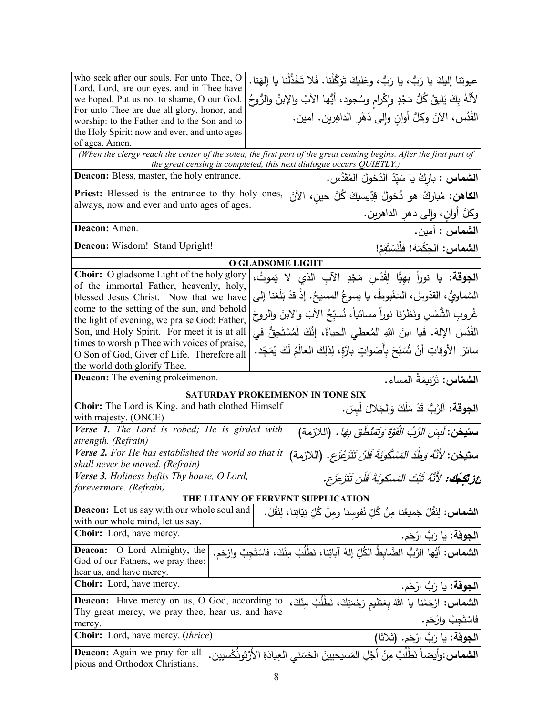| who seek after our souls. For unto Thee, O                                                                                            | عيونَنا إليكَ يا رَبُّ، يا رَبُّ، وعَليكَ تَوَكَّلْنا. فَلا تَخْذُلْنا يا إلهَنا.                   |
|---------------------------------------------------------------------------------------------------------------------------------------|-----------------------------------------------------------------------------------------------------|
| Lord, Lord, are our eyes, and in Thee have<br>we hoped. Put us not to shame, O our God.                                               | لأَنَّهُ بِكَ يَليقُ كُلُّ مَجْدٍ وإِكْرامٍ وسُجودٍ، أَيُّها الآبُ والإِبنُ والرُّوحُ               |
| For unto Thee are due all glory, honor, and                                                                                           |                                                                                                     |
| worship: to the Father and to the Son and to                                                                                          | الْقُدُس، الآنَ وكلَّ أُوانِ وإلى دَهْرِ الداهِرين. آمين.                                           |
| the Holy Spirit; now and ever, and unto ages                                                                                          |                                                                                                     |
| of ages. Amen.<br>(When the clergy reach the center of the solea, the first part of the great censing begins. After the first part of |                                                                                                     |
| the great censing is completed, this next dialogue occurs QUIETLY.)                                                                   |                                                                                                     |
| <b>Deacon:</b> Bless, master, the holy entrance.                                                                                      | ا <b>لشماس :</b> باركْ يا سَيّدُ الدُخولَ المُقَدَّس.                                               |
| Priest: Blessed is the entrance to thy holy ones,                                                                                     | ا <b>لكاهن:</b> مُباركٌ هو دُخولُ قِدِّيسيكَ كُلَّ حينِ، الآنَ                                      |
| always, now and ever and unto ages of ages.                                                                                           | وكلَّ أوانٍ، وإلى دهر الداهرين.                                                                     |
| Deacon: Amen.                                                                                                                         | الشماس : آمين.                                                                                      |
| Deacon: Wisdom! Stand Upright!                                                                                                        | الشماس: الحِكْمَة! فلْنَسْتَقِمْ!                                                                   |
| <b>O GLADSOME LIGHT</b>                                                                                                               |                                                                                                     |
| Choir: O gladsome Light of the holy glory                                                                                             | ا <b>لجوقة:</b> يا نوراً بهِيًّا لِقُدْسِ مَجْدِ الآبِ الذي لا يَموتُ،                              |
| of the immortal Father, heavenly, holy,                                                                                               | السَّماويُّ، القدّوسُ، المَغْبوطُ، يا يسوعُ المسيحُ. إذْ قدْ بَلَغنا إلى                            |
| blessed Jesus Christ. Now that we have<br>come to the setting of the sun, and behold                                                  |                                                                                                     |
| the light of evening, we praise God: Father,                                                                                          | غُروبِ الشَّمْسِ ونَظرْنا نوراً مسائياً، نُسبِّحُ الآبَ والابنَ والروحَ                             |
| Son, and Holy Spirit. For meet it is at all                                                                                           | القُدُسَ الإِلهَ. فَيا ابنَ اللهِ المُعطى الحياةَ، إِنَّكَ لَمُسْتَحِقٌّ في                         |
| times to worship Thee with voices of praise,<br>O Son of God, Giver of Life. Therefore all                                            | سائرَ  الأوقاتِ  أَنْ  تُسَبَّحَ بأَصْواتٍ بارَّةٍ، لِذلِكَ  العالَمُ  لَكَ  يُمَجِّد.              |
| the world doth glorify Thee.                                                                                                          |                                                                                                     |
|                                                                                                                                       |                                                                                                     |
| <b>Deacon:</b> The evening prokeimenon.                                                                                               |                                                                                                     |
|                                                                                                                                       | ا <b>لشمّاس:</b> تَرْنيمَةُ المَساء.                                                                |
| SATURDAY PROKEIMENON IN TONE SIX<br>Choir: The Lord is King, and hath clothed Himself                                                 |                                                                                                     |
| with majesty. (ONCE)                                                                                                                  | ا <b>لجوقة</b> : اَلرَّبُّ قَدْ مَلَكَ وَالجَلالَ لَبِسَ.                                           |
| Verse 1. The Lord is robed; He is girded with                                                                                         | س <b>تيخن</b> : <i>لَسِّن الرَّبُّ الْقَوَّةَ وَتَمَنْطُقَ بِهَا</i> . (اللازمة)                    |
| strength. (Refrain)<br>Verse 2. For He has established the world so that it                                                           |                                                                                                     |
| shall never be moved. (Refrain)                                                                                                       | <b>ستيخن</b> : <i>'لأَنَّهُ وَطَّدَ المَسْكُونَةَ فَلَنْ تَتَزَعْزَع</i> . (اللازمة)                |
| Verse 3. Holiness befits Thy house, O Lord,                                                                                           | اعز تَكْجُك: لأَنَّهُ ثَبَّتَ الْمَسْكُونَةَ فَلْنِ تَتَزَعِزَع.                                    |
| forevermore. (Refrain)                                                                                                                |                                                                                                     |
| THE LITANY OF FERVENT SUPPLICATION<br><b>Deacon:</b> Let us say with our whole soul and                                               |                                                                                                     |
| with our whole mind, let us say.                                                                                                      | ا <b>لشماس:</b> لِنَقُلْ جَميعُنا مِنُ كُلِّ نُفوسنا ومنْ كُلِّ نِيّاتِنا، لِنَقُلْ.                |
| Choir: Lord, have mercy.                                                                                                              | ا <b>لجوقة:</b> يا رَبُّ ارْحَم.                                                                    |
| <b>Deacon:</b> O Lord Almighty, the                                                                                                   |                                                                                                     |
| God of our Fathers, we pray thee:                                                                                                     | <b>الشماس:</b> أيُّها الرَّبُّ الضَّابطُ الكُلِّ إلهُ آبائِنا، نَطْلُبُ مِنْكَ، فاسْتَجِبْ وارْحَم. |
| hear us, and have mercy.                                                                                                              |                                                                                                     |
| <b>Choir:</b> Lord, have mercy.                                                                                                       | ا <b>لجوقة:</b> يا رَبُّ ارْحَم.                                                                    |
| <b>Deacon:</b> Have mercy on us, O God, according to<br>Thy great mercy, we pray thee, hear us, and have                              | ا <b>لشماس:</b> ارْحَمْنا يا اللهُ بِعَظيم رَحْمَتِكَ، نَطْلُبُ مِنْكَ،                             |
| mercy.                                                                                                                                |                                                                                                     |
| <b>Choir:</b> Lord, have mercy. <i>(thrice)</i>                                                                                       | فاسْتَجِبْ وارْحَم.<br>ا <b>لجوقة:</b> يا رَبُّ ارْحَم. (ثلاثا)                                     |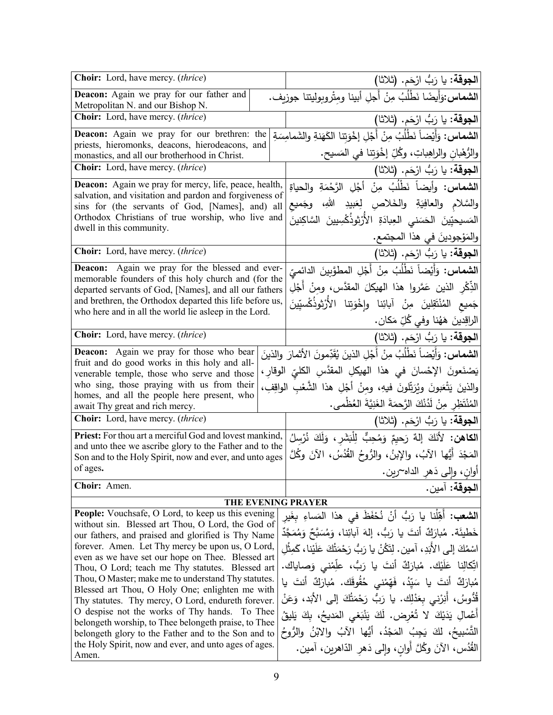| Choir: Lord, have mercy. (thrice)                                                                                  | ا <b>لجوقة:</b> يا رَبُّ ارْحَم. (ثلاثا)                                           |  |
|--------------------------------------------------------------------------------------------------------------------|------------------------------------------------------------------------------------|--|
| Deacon: Again we pray for our father and<br>Metropolitan N. and our Bishop N.                                      | ا <b>لشماس:</b> وَأَيضًا نَطْلُبُ مِنْ أَجلِ أبينا ومِتْروبوليتنا جوزيف.           |  |
| Choir: Lord, have mercy. (thrice)                                                                                  | الجوقة: يا رَبُّ ارْحَم. (ثلاثا)                                                   |  |
| Deacon: Again we pray for our brethren: the                                                                        | ا <b>لشماس:</b> وَأَيْضاً نَطْلُبُ مِنْ أَجْلِ إخْوَتِنا الكَهَنةِ والشَمامِسَةِ   |  |
| priests, hieromonks, deacons, hierodeacons, and<br>monastics, and all our brotherhood in Christ.                   | والرُّهْبانِ والراهِباتِ، وكُلِّ إخْوَتِنا في المَسيح.                             |  |
| Choir: Lord, have mercy. (thrice)                                                                                  | ا <b>لجوقة:</b> يا رَبُّ ارْحَم. (ثلاثا)                                           |  |
| <b>Deacon:</b> Again we pray for mercy, life, peace, health,                                                       | ا <b>لشماس:</b> وأيضاً نَطْلُبُ مِنْ أَجْلِ الرَّحْمَةِ والحياةِ                   |  |
| salvation, and visitation and pardon and forgiveness of                                                            | والسَّلام والعافِيَةِ والخَلاصِ لِعَبيدِ اللهِ، وجَميع                             |  |
| sins for (the servants of God, [Names], and) all<br>Orthodox Christians of true worship, who live and              |                                                                                    |  |
| dwell in this community.                                                                                           | المَسيحيِّينَ الحَسَنى العِبادَةِ الأَرْثِوذُكْسِيينَ السَّاكِنينَ                 |  |
|                                                                                                                    | والمَوْجودينَ في هذا المجتمع.                                                      |  |
| Choir: Lord, have mercy. (thrice)                                                                                  | ا <b>لجوقة:</b> يا رَبُّ ارْحَم. (ثلاثا)                                           |  |
| Deacon: Again we pray for the blessed and ever-<br>memorable founders of this holy church and (for the             | ا <b>لشماس:</b> وَأَيْضاً نَطْلُبُ مِنْ أَجْلِ المطوَّبينَ الدائ <i>ميِّ</i>       |  |
| departed servants of God, [Names], and all our fathers                                                             | الذِّكْرِ الذينِ عَمَّروا هذا الهيكلَ المقدَّسِ، ومِنْ أَجْلِ                      |  |
| and brethren, the Orthodox departed this life before us,                                                           | جَميع المُنْتَقِلينَ مِنْ آبائِنا وإِخْوَتِنا الأَرْثوذُكُسيِّينَ                  |  |
| who here and in all the world lie asleep in the Lord.                                                              | الراقِدينَ هَهُنا وفي كُلِّ مَكان.                                                 |  |
| Choir: Lord, have mercy. (thrice)                                                                                  | ا <b>لجوقة:</b> يا رَبُّ ارْحَم. (ثلاثا)                                           |  |
| <b>Deacon:</b> Again we pray for those who bear                                                                    | ا <b>لشماس:</b> وَأَيْضاً نَطْلُبُ مِنْ أَجْلِ الذينَ يُقَدِّمونَ الأثمارَ والذينَ |  |
| fruit and do good works in this holy and all-                                                                      | يَصْنَعونَ الإحْسانَ في هذا الهيكلِ المقدَّسِ الكليِّ الوقارِ ،                    |  |
| venerable temple, those who serve and those<br>who sing, those praying with us from their                          |                                                                                    |  |
| homes, and all the people here present, who                                                                        | والذينَ يَتْعَبونَ ويُرَتِّلونَ فيهِ، ومِنْ أَجْلِ هذا الشَّعْبِ الواقِفِ،         |  |
| await Thy great and rich mercy.                                                                                    | المُنْتَظِرِ مِنْ لَدُنْكَ الرَّحمَةَ الغَنِيَّةَ العُظْمى.                        |  |
| Choir: Lord, have mercy. (thrice)                                                                                  | الجوقة: يا رَبُّ ارْحَم. (ثلاثا)                                                   |  |
| Priest: For thou art a merciful God and lovest mankind,<br>and unto thee we ascribe glory to the Father and to the | ا <b>لكاهن:</b> لأَنَكَ إلهٌ رَحيِمٌ وَمُحِبٌّ لِلْبَشَرِ، وَلَكَ نُرْسِلُ         |  |
| Son and to the Holy Spirit, now and ever, and unto ages                                                            | المَجْدَ أَيُّها الآبُ، والإِبنُ، والرُّوحُ الْقُدُسُ، الآنَ وكُلَّ                |  |
| of ages.                                                                                                           | أوانٍ، وإ <u>لى دَهرِ ا</u> لداه~رين.                                              |  |
| Choir: Amen.                                                                                                       | ا <b>لجوقة:</b> آمين.                                                              |  |
| THE EVENING PRAYER                                                                                                 |                                                                                    |  |
| People: Vouchsafe, O Lord, to keep us this evening<br>without sin. Blessed art Thou, O Lord, the God of            | ا <b>لشعب:</b> أَهِّلْنا يا رَبُّ أَنْ نُحْفَظَ في هذا المَساءِ بغَير              |  |
| our fathers, and praised and glorified is Thy Name                                                                 | خَطْيئَة. مُبارَكٌ أَنتَ يا رَبُّ، إِلهَ آبائِنا، وَمُسَبَّحٌ وَمُمَجَّدٌ          |  |
| forever. Amen. Let Thy mercy be upon us, O Lord,                                                                   | اسْمُكَ إلى الأَبَدِ، آمين . لِتَكُنْ يا رَبُّ رَحْمَتُكَ عَلَيْنا ، كَمِثْلِ      |  |
| even as we have set our hope on Thee. Blessed art                                                                  | اتِّكالِنا عَلَيْك. مُبارَكٌ أنتَ يا رَبُّ، علِّمْنى وَصاياك.                      |  |
| Thou, O Lord; teach me Thy statutes. Blessed art                                                                   |                                                                                    |  |
| Thou, O Master; make me to understand Thy statutes.<br>Blessed art Thou, O Holy One; enlighten me with             | مُبارَكٌ أنتَ يا سَيّدُ، فَهَمْنى حُقُوقَك. مُبارَكٌ أنتَ يا                       |  |
| Thy statutes. Thy mercy, O Lord, endureth forever.                                                                 | قُدُّوسُ، أَنِرْنى بِعَدْلِك. يا رَبُّ رَحْمَتُكَ إلى الأَبَد، وَعَنْ              |  |
| O despise not the works of Thy hands. To Thee                                                                      | أَعْمالِ يَدَيْكَ لا تُعْرِض. لَكَ يَنْبَغي المَديحُ، بِكَ يَليقُ                  |  |
| belongeth worship, to Thee belongeth praise, to Thee                                                               |                                                                                    |  |
| belongeth glory to the Father and to the Son and to<br>the Holy Spirit, now and ever, and unto ages of ages.       | التَّسْبِيحُ، لكَ يَجِبُ المَجْدُ، أَيُّها الآبُ والابْنُ والرُّوحُ                |  |
| Amen.                                                                                                              | الْقُدُس، الآنَ وكُلَّ أُوانٍ، وإِلَى دَهْرِ الدَّاهرينِ، آمين.                    |  |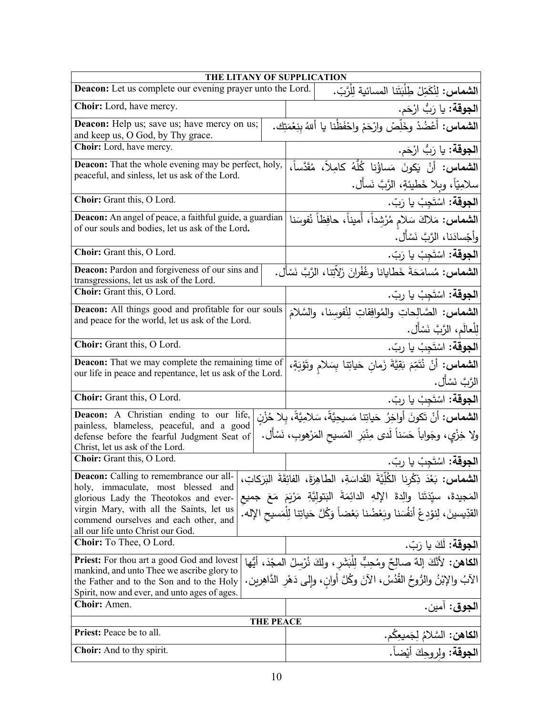| THE LITANY OF SUPPLICATION                                                                                                              |                  |                                                                                                     |
|-----------------------------------------------------------------------------------------------------------------------------------------|------------------|-----------------------------------------------------------------------------------------------------|
| Deacon: Let us complete our evening prayer unto the Lord.                                                                               |                  | ا <b>لشماس:</b> لِنُكَمِّلْ طِلْبَتَنا المسائية لِلْرَّبّ.                                          |
| Choir: Lord, have mercy.                                                                                                                |                  | ا <b>لجوقة:</b> يا رَبُّ ارْحَم.                                                                    |
| <b>Deacon:</b> Help us; save us; have mercy on us;<br>and keep us, O God, by Thy grace.                                                 |                  | ا <b>لشماس:</b> أَعْضُدْ وخَلِّصْ وارْحَمْ واحْفَظْنا يا أللهُ بنِعْمَتِك.                          |
| Choir: Lord, have mercy.                                                                                                                |                  | ا <b>لجوقة:</b> يا رَبُّ ارْحَم.                                                                    |
| <b>Deacon:</b> That the whole evening may be perfect, holy,                                                                             |                  | ا <b>لشماس:</b> أَنْ يَكونَ مَساؤُنا كُلُّهُ كامِلاً، مُقَدَّساً،                                   |
| peaceful, and sinless, let us ask of the Lord.                                                                                          |                  | سلامِيّاً، وبلا خَطيئةٍ، الرَّبَّ نَسأَل.                                                           |
| Choir: Grant this, O Lord.                                                                                                              |                  | ا <b>لجوقة:</b> اسْتَجِبْ يا رَبّ.                                                                  |
| <b>Deacon:</b> An angel of peace, a faithful guide, a guardian<br>of our souls and bodies, let us ask of the Lord.                      |                  | ا <b>لشماس:</b> مَلاكَ سَلام مُرْشِداً، أَميناً، حافِظاً نُفوسَناً<br>وأجْسادَنا، الرَّبَّ نَسْأَل. |
| Choir: Grant this, O Lord.                                                                                                              |                  | ا <b>لجوقة:</b> اسْتَجِبْ يا رَبّ.                                                                  |
| <b>Deacon:</b> Pardon and forgiveness of our sins and<br>transgressions, let us ask of the Lord.                                        |                  | ا <b>لشماس:</b> مُسامَحَةَ خَطايانا وغُفْرانَ زَلاّتِنا، الرَّبَّ نَسْأَل.                          |
| Choir: Grant this, O Lord.                                                                                                              |                  | ا <b>لجوقة:</b> اسْتَجِبْ يا ربّ.                                                                   |
| Deacon: All things good and profitable for our souls                                                                                    |                  | الشماس: الصَّالِحاتِ والمُوافِقاتِ لِنُفوسنا، والسَّلامَ                                            |
| and peace for the world, let us ask of the Lord.                                                                                        |                  | لِلْعالَمِ، الرَّبَّ نَسْأَل.                                                                       |
| Choir: Grant this, O Lord.                                                                                                              |                  | ا <b>لجوقة:</b> اسْتَجِبْ يا ربّ.                                                                   |
| <b>Deacon:</b> That we may complete the remaining time of                                                                               |                  | الشماس: أَنْ نُتَمِّمَ بَقِيَّةَ زَمانِ حَياتِنا بِسَلامِ وتَوْبَةٍ،                                |
| our life in peace and repentance, let us ask of the Lord.                                                                               |                  | الرَّبَّ نَسْأَل.                                                                                   |
| Choir: Grant this, O Lord.                                                                                                              |                  | ا <b>لجوقة:</b> اسْتَجِبْ يا ربّ.                                                                   |
| Deacon: A Christian ending to our life,                                                                                                 |                  | <b>الشماس:</b> أنْ تَكونَ أواخِرُ حَياتِنا مَسيحِيَّةً، سَلامِيَّةً، بِلا حُزْنٍ                    |
| painless, blameless, peaceful, and a good<br>defense before the fearful Judgment Seat of<br>Christ, let us ask of the Lord.             |                  | ولا خِزْي، وجَواباً حَسَناً لَدى مِنْبَرِ المَسيح المَرْهوبِ، نَسْأَل.                              |
| Choir: Grant this, O Lord.                                                                                                              |                  | ا <b>لجوقة:</b> اسْتَجِبْ يا ربّ.                                                                   |
| <b>Deacon:</b> Calling to remembrance our all-                                                                                          |                  | ا <b>لشماس:</b> بَعْدَ ذِكْرِنا الْكُلِّيَّةَ القَداسَةِ، الطاهِرَةَ، الفائِقَةَ البَرَكاتِ،        |
| holy, immaculate, most blessed and<br>glorious Lady the Theotokos and ever-                                                             |                  | المَجيدةَ، سيِّدَتَنا والِدةَ الإِلهِ الدائِمَةَ البَتولِيَّةِ مَرْيَمَ مَعَ جميعِ                  |
| virgin Mary, with all the Saints, let us<br>commend ourselves and each other, and<br>all our life unto Christ our God.                  |                  | القدِّيسينَ، لِنوْدِعْ أَنفُسَنا وبَعْضُنا بَعْضاً وَكُلَّ حَياتِنا لِلْمَسيحِ الإله.               |
| Choir: To Thee, O Lord.                                                                                                                 |                  | ا <b>لجوقة:</b> لكَ يا رَبّ.                                                                        |
| <b>Priest:</b> For thou art a good God and lovest                                                                                       |                  | ا <b>لكاهن:</b> لأنَّكَ إلهٌ صالِحٌ ومُحِبٌّ لِلْبَشَرِ ، ولكَ نُرْسِلُ المجْدَ، أيُّها             |
| mankind, and unto Thee we ascribe glory to<br>the Father and to the Son and to the Holy<br>Spirit, now and ever, and unto ages of ages. |                  | الآبُ والإِبْنُ والرُّوحُ القُدُسُ، الآنَ وكُلَّ أوانِ، وإِلى دَهْرِ الدَّاهِرين.                   |
| Choir: Amen.                                                                                                                            |                  | ا <b>لجوق</b> : آمين.                                                                               |
|                                                                                                                                         | <b>THE PEACE</b> |                                                                                                     |
| Priest: Peace be to all.                                                                                                                |                  | ا <b>لكاهن:</b> السَّلامُ لِجَميعِكُم.                                                              |
| <b>Choir:</b> And to thy spirit.                                                                                                        |                  | ا <b>لجوقة</b> : ولروحِكَ أَيْضاً.                                                                  |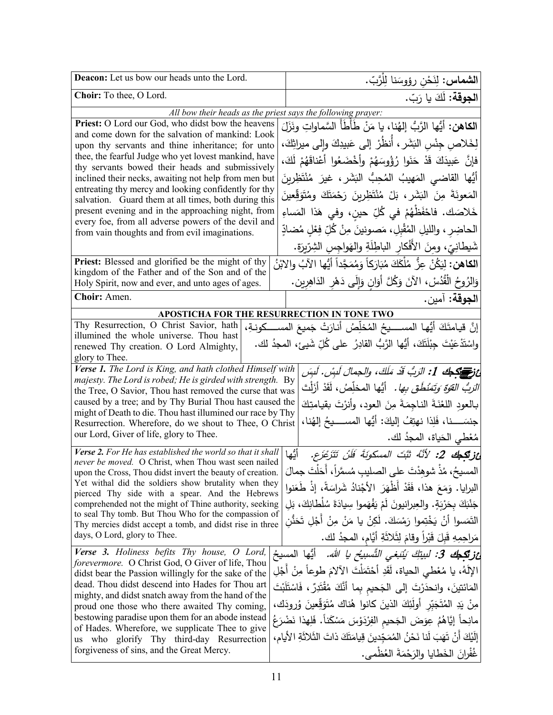| Deacon: Let us bow our heads unto the Lord.                                                                          | <b>الشماس:</b> لِنَحْن رؤوسَنا لِلْرَّبّ.                                             |
|----------------------------------------------------------------------------------------------------------------------|---------------------------------------------------------------------------------------|
| Choir: To thee, O Lord.                                                                                              | ا <b>لجوقة:</b> لَكَ يا رَبّ.                                                         |
|                                                                                                                      | All bow their heads as the priest says the following prayer:                          |
| Priest: O Lord our God, who didst bow the heavens                                                                    | ا <b>لكاهن:</b> أيُّها الرَّبُّ إلهُنا، يا مَنْ طَأطَأَ السَّماواتِ ونَزَلَ           |
| and come down for the salvation of mankind: Look<br>upon thy servants and thine inheritance; for unto                | لِخَلاص جِنْس البَشَر ، أَنظُرْ إلى عَبيدِكَ وإلى ميراثِكَ،                           |
| thee, the fearful Judge who yet lovest mankind, have                                                                 | فإِنَّ عَبِيدَكَ قَدْ حَنَوا رُؤُوسَهُمْ وأَخْضَعُوا أَعْناقَهُمْ لَكَ،               |
| thy servants bowed their heads and submissively                                                                      |                                                                                       |
| inclined their necks, awaiting not help from men but<br>entreating thy mercy and looking confidently for thy         | أَيُّها القاضى المَهيبُ المُحِبُّ البَشَرِ ، غيرَ مُنْتَظِرِينَ                       |
| salvation. Guard them at all times, both during this                                                                 | الْمَعُونَةَ مِنَ الْبَشَرِ ، بَلْ مُنْتَظِرِينَ رَحْمَتَكَ وِمُتَوَقِّعِينَ          |
| present evening and in the approaching night, from                                                                   | خَلاصَكَ. فاحْفَظْهُمْ في كُلِّ حينٍ، وفي هَذا المَساءِ                               |
| every foe, from all adverse powers of the devil and<br>from vain thoughts and from evil imaginations.                | الحاضِر ، والليلِ المُقْبِلِ، مَصونينَ مِنْ كُلِّ فِعْلِ مُضادِّ                      |
|                                                                                                                      | شَيطانِيّ، ومِنَ الأَفْكارِ الباطِلَةِ والهَواجِسِ الشِرِّيرَةِ.                      |
| Priest: Blessed and glorified be the might of thy                                                                    | <b>الكاهن:</b> لِيَكُنْ عِزُّ مُلْكَكَ مُبَارَكاً وَمُمَجَّداً أَيُّها الآبُ والابْنُ |
| kingdom of the Father and of the Son and of the                                                                      |                                                                                       |
| Holy Spirit, now and ever, and unto ages of ages.                                                                    | وَالزُوحُ الْقُدُسْ، الآنَ وَكُلَّ أَوَانٍ وَإِلَى دَهْرِ الدَاهِرِينِ.               |
| Choir: Amen.                                                                                                         | ا <b>لجوقة:</b> آمين.                                                                 |
|                                                                                                                      | APOSTICHA FOR THE RESURRECTION IN TONE TWO                                            |
| Thy Resurrection, O Christ Savior, hath                                                                              | إِنَّ قيامتَكَ أَيُّها المســــيحُ المُخلِّصُ أنـارَتْ جَميعَ المســــكونـةِ،         |
| illumined the whole universe. Thou hast<br>renewed Thy creation. O Lord Almighty,                                    | واسْتَدْعَيْتَ جِبْلَتَكَ، أَيُّها الرَّبُّ القادِرُ  على كُلِّ شَيئٍ، المجدُ لك.     |
| glory to Thee.                                                                                                       |                                                                                       |
| Verse 1. The Lord is King, and hath clothed Himself with                                                             | ئ في السَّمَاعِ 1: الرّبِّ قَدْ مَلَكَ، والجمالَ لَبِسْ. لَبِسَ                       |
| majesty. The Lord is robed; He is girded with strength. By                                                           |                                                                                       |
| the Tree, O Savior, Thou hast removed the curse that was                                                             | <i>الرَبُّ القوَّة وَتَمَنْطُق بِها.</i> أَيُّها المخلِّصُ، لَقَدْ أَزَلْتَ           |
| caused by a tree; and by Thy Burial Thou hast caused the                                                             | بـالعود اللعْنَةَ النـاجِمَةَ مِنَ العود، وأنرْتَ بقيامتِكَ                           |
| might of Death to die. Thou hast illumined our race by Thy<br>Resurrection. Wherefore, do we shout to Thee, O Christ | جنسَـــــنا، فَلِذا نهتِفُ إليكَ: أَيُّها المســـــيحُ إلهُنا،                        |
| our Lord, Giver of life, glory to Thee.                                                                              | مُعْطى الحَياة، المجدُ لك.                                                            |
| Verse 2. For He has established the world so that it shall                                                           | أَيُّها<br>غز <b>تَكِيكَ 2:</b> لأَنَّهُ ثَبَّتَ المسكونَةَ فَلَنْ تَتَزَعْزَع.       |
| never be moved. O Christ, when Thou wast seen nailed<br>upon the Cross, Thou didst invert the beauty of creation.    | المسيحُ، مُذْ شوهدْتَ على الصليبِ مُسمَّراً، أَحَلْتَ جمالَ                           |
| Yet withal did the soldiers show brutality when they                                                                 |                                                                                       |
| pierced Thy side with a spear. And the Hebrews                                                                       | البرايا. وَمَعَ هذا، فَقَدْ أَظْهَرَ الأَجْنادُ شَراسَةً، إذْ طَعَنوا                 |
| comprehended not the might of Thine authority, seeking<br>to seal Thy tomb. But Thou Who for the compassion of       | جَنْبَكَ بِحَرْبَةٍ. والعِبرانيونَ لَمْ يَفْهَموا سِيادَةَ سُلْطانِكَ، بَلِ           |
| Thy mercies didst accept a tomb, and didst rise in three                                                             | النَّمَسوا أَنْ يَخْتِموا رَمْسَكَ. لَكِنْ يا مَنْ مِنْ أَجْلِ تَحَذُّن               |
| days, O Lord, glory to Thee.                                                                                         | مَراحِمِهِ قَبِلَ قَبْراً وقامَ لِثَلاثَةِ أَيَّام، المجدُ لك.                        |
| <b>Verse 3.</b> Holiness befits Thy house, O Lord,                                                                   | <b>ئزيَّكِيكَ 3:</b> لبيتِكَ يَنْبَغي النَّسبيُح يا الله.   أيُّها المسيحُ            |
| forevermore. O Christ God, O Giver of life, Thou<br>didst bear the Passion willingly for the sake of the             | الإِلَهُ، يا مُعْطى الحياة، لَقَدِ أَحْتَمَلْتَ الآلامَ طوعاً مِنْ أَجْلِ             |
| dead. Thou didst descend into Hades for Thou art                                                                     | المَائتينَ، وانحدَرْتَ إلى الجَحيم بِما أَنَّكَ مُقْتَدِرٌ ، فَاسْتَلَبْتَ            |
| mighty, and didst snatch away from the hand of the                                                                   |                                                                                       |
| proud one those who there awaited Thy coming,                                                                        | مِنْ يَدِ المُتَجَبِّرِ أُولَٰئِكَ الذينَ كانوا هُناك مُتَوَقِّعينَ وُرودَك،          |
| bestowing paradise upon them for an abode instead<br>of Hades. Wherefore, we supplicate Thee to give                 | مانِحاً إيَّاهُمُ عِوَضَ الجَحيمِ الفِرْدَوْسَ مَسْكَناً. فَلِهذا نَضْرَعُ            |
| us who glorify Thy third-day Resurrection                                                                            | إِلَيْكَ أَنْ تَهَبَ لَنا نَحْنُ الْمُمَجّدينَ قِيامَتَكَ ذاتَ النَّلاثَةِ الأيام،    |
| forgiveness of sins, and the Great Mercy.                                                                            | غُفْرانَ الخَطايا والرَحْمَةَ العُظْمي.                                               |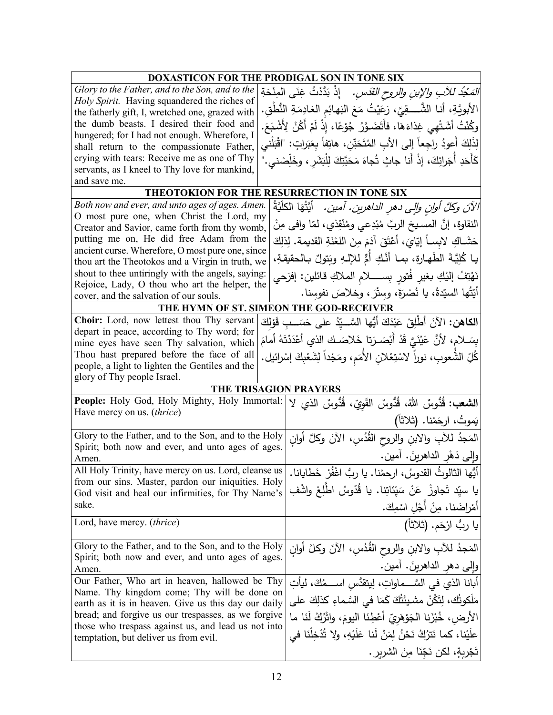| DOXASTICON FOR THE PRODIGAL SON IN TONE SIX                                                                |                                                                                   |
|------------------------------------------------------------------------------------------------------------|-----------------------------------------------------------------------------------|
| Glory to the Father, and to the Son, and to the                                                            | <i>المَجْدُ للآبِ والإبنِ والروح القدّسِ.</i> ﴿ إِذْ بَدَّدْتُ غِنَى الْمِنْحَةِ  |
| Holy Spirit. Having squandered the riches of                                                               | الأبويَّةِ، أنـا الشَّــــقِيَّ، رَعَيْتُ مَعَ البَهائِم العَادِمَةِ النُّطْقِ.   |
| the fatherly gift, I, wretched one, grazed with                                                            |                                                                                   |
| the dumb beasts. I desired their food and<br>hungered; for I had not enough. Wherefore, I                  | وكُنْتُ أَشَتْهِي غِذاءَهَا، فأَتَضَوَّرُ جُوْعًا، إِذْ لَمْ أَكُنْ لِأَشْبَعَ.   |
| shall return to the compassionate Father,                                                                  | لِذَلِكَ أعودُ راجِعاً إلى الأبِ المُتَحَنِّنِ، هاتِفاً بِعَبَراتٍ: "اقْبَلْني    |
| crying with tears: Receive me as one of Thy                                                                | كَأَحَدِ أَجَرائِكَ، إذْ أَنا جاثٍ تُجاهَ مَحَبَّتِكَ لِلْبَشَرِ ، وخَلِّصْني."   |
| servants, as I kneel to Thy love for mankind,                                                              |                                                                                   |
| and save me.                                                                                               |                                                                                   |
| THEOTOKION FOR THE RESURRECTION IN TONE SIX                                                                |                                                                                   |
| Both now and ever, and unto ages of ages. Amen.                                                            | الآنَ وكلَّ أوانٍ وإلى دهرِ الداهرين. آمين.   أيَّتُهَا الكلَّيَّةُ               |
| O most pure one, when Christ the Lord, my                                                                  | النقاوة، إنَّ المسيحَ الربَّ مُبْدِعي ومُنْقِذي، لمّا وافي مِنْ                   |
| Creator and Savior, came forth from thy womb,                                                              |                                                                                   |
| putting me on, He did free Adam from the                                                                   | حَشَـاكِ لابِسـاً إِيّايَ، أَعْتَقَ آدَمَ مِنَ اللغْنَةِ القديمة. لِذلِكَ         |
| ancient curse. Wherefore, O most pure one, since                                                           | يـا كُلِيَّـةَ الطَّهـارة، بمـا أنَّـكِ أُمٌّ للإلـهِ وبَتولٌ بـالحقيقةِ،         |
| thou art the Theotokos and a Virgin in truth, we<br>shout to thee untiringly with the angels, saying:      |                                                                                   |
| Rejoice, Lady, O thou who art the helper, the                                                              | نَهْتِفُ إلنِكِ بغيرِ فُتورٍ بِســـــلامِ الملاكِ قائلين: إفرَحي                  |
| cover, and the salvation of our souls.                                                                     | أَيَّتُها السِّيدةُ، يا نُصْرَةَ، وسِتْرَ ، وخلاصَ نفوسنا.                        |
| THE HYMN OF ST. SIMEON THE GOD-RECEIVER                                                                    |                                                                                   |
| Choir: Lord, now lettest thou Thy servant                                                                  | ا <b>لكاهن:</b> الآنَ أَطْلِقْ عَبْدَكَ أَيُّها السَّــيّدُ على حَسَــبِ قَوْلِكَ |
| depart in peace, according to Thy word; for                                                                |                                                                                   |
| mine eyes have seen Thy salvation, which                                                                   | بسَــلام، لأنَّ عَيْنَيَّ قَدْ أَبْصَــرَتا خَلاصَــك الذي أعْدَدْتَهُ أمامَ      |
| Thou hast prepared before the face of all                                                                  | كُلِّ الشُّعوبِ، نوراً لاسْتِعْلانِ الأُمَمِ، ومَجْداً لِشَعْبِكَ إِسْرائيل.      |
| people, a light to lighten the Gentiles and the                                                            |                                                                                   |
| glory of Thy people Israel.                                                                                |                                                                                   |
| <b>THE TRISAGION PRAYERS</b>                                                                               |                                                                                   |
| People: Holy God, Holy Mighty, Holy Immortal:<br>Have mercy on us. (thrice)                                | ا <b>لشعب:</b> قُدُّوسٌ اللهُ، قُدُّوسٌ القَوِيِّ، قُدُّوسٌ الذي لا               |
|                                                                                                            | يَموتُ، ارحَمْنا. (ثلاثاً)                                                        |
| Glory to the Father, and to the Son, and to the Holy                                                       | المَجدُ للأبِ والابنِ والروح القُدُسِ، الآنَ وكلَّ أوان                           |
| Spirit; both now and ever, and unto ages of ages.                                                          | وَإِلَى دَهْرِ الدَاهرينَ. آمين.                                                  |
| Amen.                                                                                                      |                                                                                   |
| All Holy Trinity, have mercy on us. Lord, cleanse us<br>from our sins. Master, pardon our iniquities. Holy | أَيُّها الثالوثُ القدوسُ، ارحمْنا. يا ربُّ اغْفُرْ خَطايانا                       |
| God visit and heal our infirmities, for Thy Name's                                                         | يا سيّد تَجاوزْ عَنْ سَيّئاتِنا. يا قُدّوسُ اطّلِعْ واشْفِ                        |
| sake.                                                                                                      |                                                                                   |
| Lord, have mercy. <i>(thrice)</i>                                                                          | أمْراضَنا، مِنْ أَجْلِ اسْمِكَ.<br>يا ربُ ارْحَم. (ثلاثاً)                        |
|                                                                                                            |                                                                                   |
| Glory to the Father, and to the Son, and to the Holy                                                       | المَجدُ للآبِ والابنِ والروحِ القُدُسِ، الآنَ وكلَّ أُوانِ                        |
| Spirit; both now and ever, and unto ages of ages.<br>Amen.                                                 | وإلى دهرِ الداهرينَ. أمين.                                                        |
| Our Father, Who art in heaven, hallowed be Thy                                                             | أبانا الذي في السَّـــماواتِ، لِيتقدَّس اســــمُكَ، ليأتِ                         |
| Name. Thy kingdom come; Thy will be done on                                                                |                                                                                   |
| earth as it is in heaven. Give us this day our daily                                                       | مَلَكوتُك، لِتَكُنْ مشيئَتُكَ كَمَا في السَّماءِ كذلِكَ على                       |
| bread; and forgive us our trespasses, as we forgive<br>those who trespass against us, and lead us not into | الأرض، خُبْزَنا الْجَوْهَرِيّ أَعْطِنَا اليومَ، واتْرُكْ لَنَا ما                 |
| temptation, but deliver us from evil.                                                                      | علَيْنا، كما نَترُكُ نَحْنُ لِمَنْ لَنا عَلَيْهِ، ولا تُدْخِلْنَا في              |
|                                                                                                            | تَجْرِبِةٍ، لكن نَجِّنَا مِنَ الشريرِ .                                           |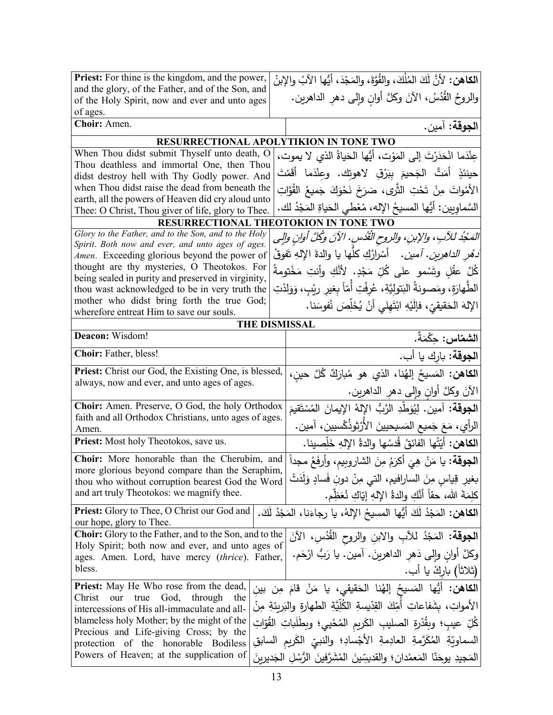| <b>Priest:</b> For thine is the kingdom, and the power,                                                                    | الكاهن: لأنَّ لَكَ المُلْكَ، والقُوَّةَ، والمَجْدَ، أيُّها الآبُ والإبنُ          |  |
|----------------------------------------------------------------------------------------------------------------------------|-----------------------------------------------------------------------------------|--|
| and the glory, of the Father, and of the Son, and                                                                          | والروحُ القُدُسُ، الآنَ وكلَّ أوانِ وإلى دهرِ الداهرين.                           |  |
| of the Holy Spirit, now and ever and unto ages<br>of ages.                                                                 |                                                                                   |  |
| Choir: Amen.                                                                                                               | ا <b>لجوقة:</b> آمين.                                                             |  |
| RESURRECTIONAL APOLYTIKION IN TONE TWO                                                                                     |                                                                                   |  |
| When Thou didst submit Thyself unto death, O                                                                               | عِنْدَما انْحَدَرْتَ إِلَى المَوْتِ، أَيُّها الْحَياةُ الذي لا يموت،              |  |
| Thou deathless and immortal One, then Thou                                                                                 |                                                                                   |  |
| حينئذٍ أَمَتَّ الْجَحيمَ ببَرْقِ لاهوتك. وعِنْدَما أَقَمْتَ<br>didst destroy hell with Thy Godly power. And                |                                                                                   |  |
| when Thou didst raise the dead from beneath the<br>الأَمْواتَ مِنْ تَحْتِ الثَّرِى، صَرَخَ نَحْوَكَ جَميعُ الْقُوَّاتِ     |                                                                                   |  |
| earth, all the powers of Heaven did cry aloud unto                                                                         | السَّماويين: أيُّها المسيحُ الإِله، مُعْطى الحَياةِ المَجْدُ لك.                  |  |
| Thee: O Christ, Thou giver of life, glory to Thee.                                                                         |                                                                                   |  |
| RESURRECTIONAL THEOTOKION IN TONE TWO                                                                                      |                                                                                   |  |
| Glory to the Father, and to the Son, and to the Holy<br>Spirit. Both now and ever, and unto ages of ages.                  | المَمْجُدُ للآبِ، والإبنِ، والروحِ الْقُدْسِ. الآنَ وكُلَّ أُوانِ والِي           |  |
| Amen. Exceeding glorious beyond the power of                                                                               | دَ <i>هْرِ الداهِرِين. أمين.</i> أَسْرارُكِ كلُّها يا والدة الإلهِ تَفوقُ         |  |
| thought are thy mysteries, O Theotokos. For                                                                                | كُلَّ عقْلِ وتَسْمو على كُلِّ مَجْدٍ. لأَنَّكِ وأنتِ مَخْتومةُ                    |  |
| being sealed in purity and preserved in virginity,                                                                         |                                                                                   |  |
| thou wast acknowledged to be in very truth the                                                                             | الطَّهارَةِ، ومَصونةُ البَتوليَّةِ، عُرفْتِ أمّاً بِغيرِ رِيْبٍ، وَوَلِدْتِ       |  |
| mother who didst bring forth the true God;                                                                                 | الإِلهَ الحَقيقيّ، فإِلَيْهِ ابْتَهِلِّي أَنْ يُخَلِّصَ نُفوسَنا.                 |  |
| wherefore entreat Him to save our souls.                                                                                   |                                                                                   |  |
| <b>THE DISMISSAL</b><br>Deacon: Wisdom!<br>ا <b>لشمّاس :</b> حكْمَةٌ.                                                      |                                                                                   |  |
|                                                                                                                            |                                                                                   |  |
| Choir: Father, bless!                                                                                                      | ا <b>لجوقة:</b> بارك يا أب.                                                       |  |
| Priest: Christ our God, the Existing One, is blessed,                                                                      | ا <b>لكاهن:</b> المَسيحُ إلهُنا، الذي هو مُبارَكٌ كُلَّ حين،                      |  |
| always, now and ever, and unto ages of ages.                                                                               | الآنَ وكلَّ أوانِ وإلى دهرِ الداهرين.                                             |  |
| Choir: Amen. Preserve, O God, the holy Orthodox<br>ا <b>لجوقة:</b> آمين. لِيُوَطِّدِ الرَّبُّ الإلهُ الإيمانَ المُسْتَقيمَ |                                                                                   |  |
| faith and all Orthodox Christians, unto ages of ages.                                                                      | الرأي، مَعَ جَميع المَسيحيينَ الأَرْثوذُكْسيين، آمين.                             |  |
| Amen.                                                                                                                      |                                                                                   |  |
| Priest: Most holy Theotokos, save us.                                                                                      | الكاهن: أيّتُها الفائقُ قُدسُها والدةُ الإلهِ خَلِّصينا.                          |  |
| Choir: More honorable than the Cherubim, and                                                                               | ا <b>لجوقة:</b> يا مَنْ هِيَ أكرَمُ مِنَ الشاروبيم، وأرفَعُ مجداً                 |  |
| more glorious beyond compare than the Seraphim,<br>thou who without corruption bearest God the Word                        | بغيرِ قِياسٍ مِنَ السارافيمِ، التي مِنْ دونِ فَسادٍ وَلِدَتْ                      |  |
| and art truly Theotokos: we magnify thee.                                                                                  | كَلِمَةَ الله، حقاً أنَّكِ والدةُ اﻹلهِ إيَّاكِ نُعَظِّم.                         |  |
|                                                                                                                            |                                                                                   |  |
| <b>Priest:</b> Glory to Thee, O Christ our God and<br>our hope, glory to Thee.                                             | ا <b>لكاهن:</b> المَجْدُ لَكَ أَيُّها المسيحُ الإِلهُ، يا رجاءَنا، المَجْدُ لَكَ. |  |
| <b>Choir:</b> Glory to the Father, and to the Son, and to the                                                              | ا <b>لجوقة:</b> المَجْدُ للأَبِ والابنِ والروح القُدُسِ، الآنَ                    |  |
| Holy Spirit; both now and ever, and unto ages of                                                                           | وكلَّ أُوانٍ وإلى دَهرِ الداهرينَ. آمين. يا رَبُّ ارْحَم.                         |  |
| ages. Amen. Lord, have mercy (thrice). Father,<br>bless.                                                                   |                                                                                   |  |
|                                                                                                                            | (ثلاثاً) باركْ يا أب.                                                             |  |
| <b>Priest:</b> May He Who rose from the dead,                                                                              | ا <b>لكاهن:</b> أَيُّها المَسيحُ إلهُنا الحَقيقى، يا مَنْ قامَ مِن بين            |  |
| Christ<br>God,<br>through<br>our<br>true<br>the                                                                            | الأمواتِ، بشَفاعاتِ أَمِّكَ القِدّيسةِ الكُلِّيَّةِ الطهارةِ والبَرِيئةِ مِنْ     |  |
| intercessions of His all-immaculate and all-<br>blameless holy Mother; by the might of the                                 |                                                                                   |  |
| Precious and Life-giving Cross; by the                                                                                     | كُلِّ عيبِ؛ وبِقُدْرِةِ الصليبِ الكَريمِ المُحْييِ؛ وبِطَلَباتِ القُوّاتِ         |  |
| protection of the honorable Bodiless                                                                                       | السماويّةِ المُكَرَّمةِ العادِمةِ الأجْسادِ؛ والنبيِّ الكَريمِ السابقِ            |  |
| Powers of Heaven; at the supplication of                                                                                   | المَجيدِ يوحَنّا المَعمْدانِ؛ والقديسِّينَ المُشَرَّفينَ الرُّسُلِ الجَديرِينَ    |  |